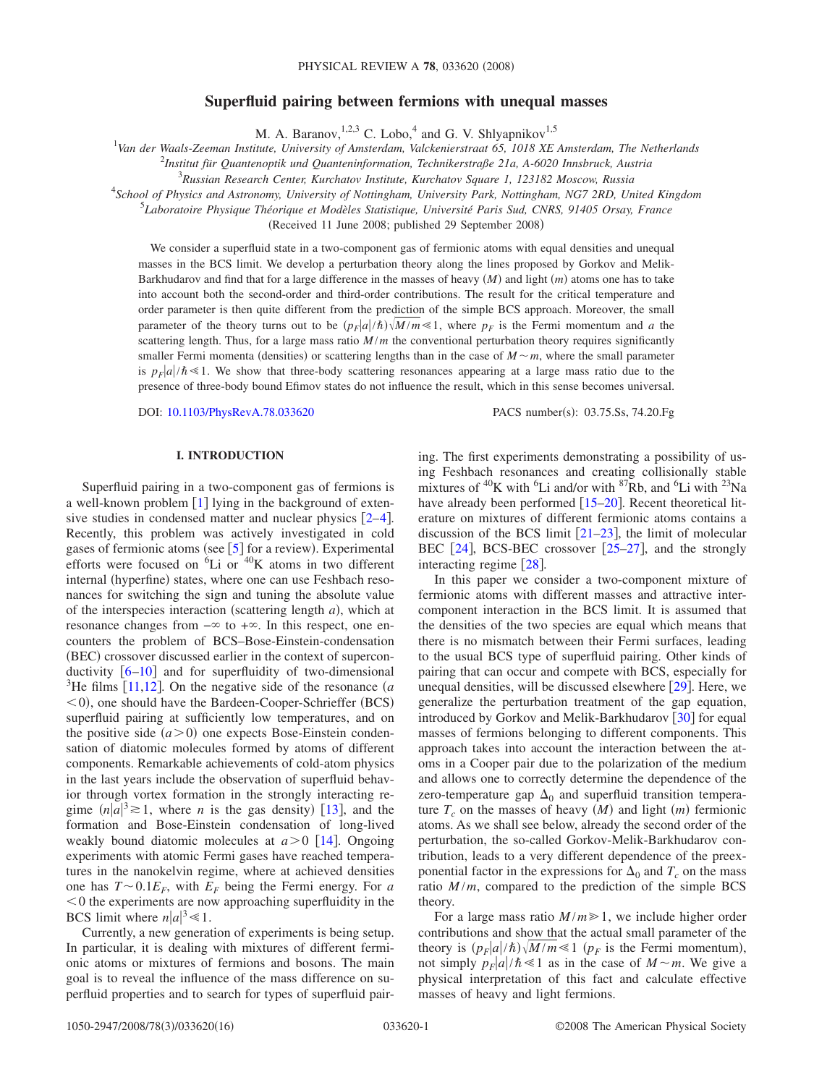# **Superfluid pairing between fermions with unequal masses**

M. A. Baranov,  $^{1,2,3}$  C. Lobo,  $^{4}$  and G. V. Shlyapnikov<sup>1,5</sup>

1 *Van der Waals-Zeeman Institute, University of Amsterdam, Valckenierstraat 65, 1018 XE Amsterdam, The Netherlands*

2 *Institut für Quantenoptik und Quanteninformation, Technikerstraße 21a, A-6020 Innsbruck, Austria*

3 *Russian Research Center, Kurchatov Institute, Kurchatov Square 1, 123182 Moscow, Russia*

4 *School of Physics and Astronomy, University of Nottingham, University Park, Nottingham, NG7 2RD, United Kingdom*

5 *Laboratoire Physique Théorique et Modèles Statistique, Université Paris Sud, CNRS, 91405 Orsay, France*

(Received 11 June 2008; published 29 September 2008)

We consider a superfluid state in a two-component gas of fermionic atoms with equal densities and unequal masses in the BCS limit. We develop a perturbation theory along the lines proposed by Gorkov and Melik-Barkhudarov and find that for a large difference in the masses of heavy (*M*) and light (*m*) atoms one has to take into account both the second-order and third-order contributions. The result for the critical temperature and order parameter is then quite different from the prediction of the simple BCS approach. Moreover, the small parameter of the theory turns out to be  $(p_F|a|/\hbar)\sqrt{M/m} \ll 1$ , where  $p_F$  is the Fermi momentum and *a* the scattering length. Thus, for a large mass ratio  $M/m$  the conventional perturbation theory requires significantly smaller Fermi momenta (densities) or scattering lengths than in the case of  $M \sim m$ , where the small parameter is  $p_F|a|/\hbar \ll 1$ . We show that three-body scattering resonances appearing at a large mass ratio due to the presence of three-body bound Efimov states do not influence the result, which in this sense becomes universal.

DOI: [10.1103/PhysRevA.78.033620](http://dx.doi.org/10.1103/PhysRevA.78.033620)

PACS number(s): 03.75.Ss, 74.20.Fg

## **I. INTRODUCTION**

Superfluid pairing in a two-component gas of fermions is a well-known problem  $\begin{bmatrix} 1 \end{bmatrix}$  $\begin{bmatrix} 1 \end{bmatrix}$  $\begin{bmatrix} 1 \end{bmatrix}$  lying in the background of extensive studies in condensed matter and nuclear physics  $[2-4]$  $[2-4]$  $[2-4]$ . Recently, this problem was actively investigated in cold gases of fermionic atoms (see  $[5]$  $[5]$  $[5]$  for a review). Experimental efforts were focused on  ${}^{6}Li$  or  ${}^{40}K$  atoms in two different internal (hyperfine) states, where one can use Feshbach resonances for switching the sign and tuning the absolute value of the interspecies interaction (scattering length  $a$ ), which at resonance changes from  $-\infty$  to  $+\infty$ . In this respect, one encounters the problem of BCS–Bose-Einstein-condensation (BEC) crossover discussed earlier in the context of superconductivity  $\begin{bmatrix} 6{-}10 \end{bmatrix}$  $\begin{bmatrix} 6{-}10 \end{bmatrix}$  $\begin{bmatrix} 6{-}10 \end{bmatrix}$  and for superfluidity of two-dimensional  $^{3}$ He films [[11](#page-14-6)[,12](#page-14-7)]. On the negative side of the resonance *(a* <0), one should have the Bardeen-Cooper-Schrieffer (BCS) superfluid pairing at sufficiently low temperatures, and on the positive side  $(a>0)$  one expects Bose-Einstein condensation of diatomic molecules formed by atoms of different components. Remarkable achievements of cold-atom physics in the last years include the observation of superfluid behavior through vortex formation in the strongly interacting regime  $(n|a|^3 \ge 1$ , where *n* is the gas density) [[13](#page-14-8)], and the formation and Bose-Einstein condensation of long-lived weakly bound diatomic molecules at  $a > 0$  [[14](#page-14-9)]. Ongoing experiments with atomic Fermi gases have reached temperatures in the nanokelvin regime, where at achieved densities one has  $T \sim 0.1 E_F$ , with  $E_F$  being the Fermi energy. For *a*  $<$  0 the experiments are now approaching superfluidity in the BCS limit where  $n|a|^3 \ll 1$ .

Currently, a new generation of experiments is being setup. In particular, it is dealing with mixtures of different fermionic atoms or mixtures of fermions and bosons. The main goal is to reveal the influence of the mass difference on superfluid properties and to search for types of superfluid pairing. The first experiments demonstrating a possibility of using Feshbach resonances and creating collisionally stable mixtures of <sup>40</sup>K with <sup>6</sup>Li and/or with <sup>87</sup>Rb, and <sup>6</sup>Li with <sup>23</sup>Na have already been performed  $[15–20]$  $[15–20]$  $[15–20]$  $[15–20]$ . Recent theoretical literature on mixtures of different fermionic atoms contains a discussion of the BCS limit  $[21-23]$  $[21-23]$  $[21-23]$ , the limit of molecular BEC  $[24]$  $[24]$  $[24]$ , BCS-BEC crossover  $[25-27]$  $[25-27]$  $[25-27]$ , and the strongly interacting regime  $\lceil 28 \rceil$  $\lceil 28 \rceil$  $\lceil 28 \rceil$ .

In this paper we consider a two-component mixture of fermionic atoms with different masses and attractive intercomponent interaction in the BCS limit. It is assumed that the densities of the two species are equal which means that there is no mismatch between their Fermi surfaces, leading to the usual BCS type of superfluid pairing. Other kinds of pairing that can occur and compete with BCS, especially for unequal densities, will be discussed elsewhere  $[29]$  $[29]$  $[29]$ . Here, we generalize the perturbation treatment of the gap equation, introduced by Gorkov and Melik-Barkhudarov  $\lceil 30 \rceil$  $\lceil 30 \rceil$  $\lceil 30 \rceil$  for equal masses of fermions belonging to different components. This approach takes into account the interaction between the atoms in a Cooper pair due to the polarization of the medium and allows one to correctly determine the dependence of the zero-temperature gap  $\Delta_0$  and superfluid transition temperature  $T_c$  on the masses of heavy  $(M)$  and light  $(m)$  fermionic atoms. As we shall see below, already the second order of the perturbation, the so-called Gorkov-Melik-Barkhudarov contribution, leads to a very different dependence of the preexponential factor in the expressions for  $\Delta_0$  and  $T_c$  on the mass ratio  $M/m$ , compared to the prediction of the simple BCS theory.

For a large mass ratio  $M/m \ge 1$ , we include higher order contributions and show that the actual small parameter of the theory is  $(p_F|a|/\hbar)\sqrt{M/m} \leq 1$  ( $p_F$  is the Fermi momentum), not simply  $p_F|a|/\hbar \ll 1$  as in the case of  $M \sim m$ . We give a physical interpretation of this fact and calculate effective masses of heavy and light fermions.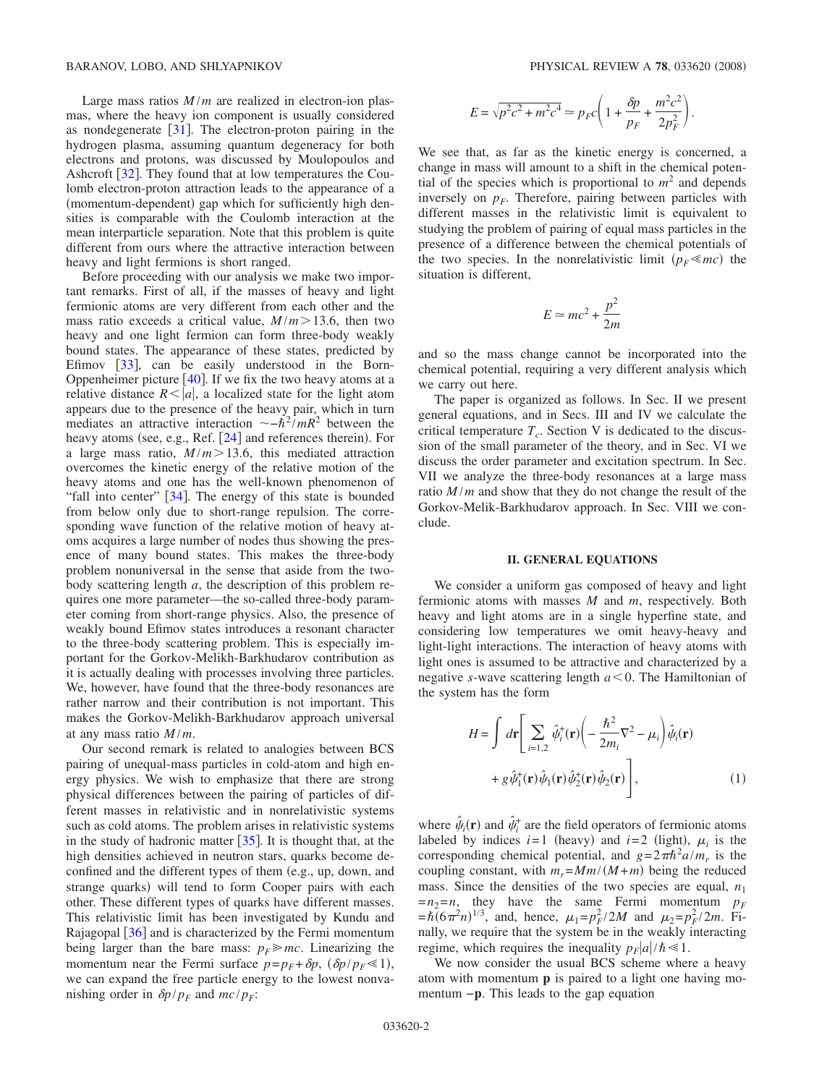Large mass ratios  $M/m$  are realized in electron-ion plasmas, where the heavy ion component is usually considered as nondegenerate  $\lceil 31 \rceil$  $\lceil 31 \rceil$  $\lceil 31 \rceil$ . The electron-proton pairing in the hydrogen plasma, assuming quantum degeneracy for both electrons and protons, was discussed by Moulopoulos and Ashcroft [[32](#page-15-10)]. They found that at low temperatures the Coulomb electron-proton attraction leads to the appearance of a (momentum-dependent) gap which for sufficiently high densities is comparable with the Coulomb interaction at the mean interparticle separation. Note that this problem is quite different from ours where the attractive interaction between heavy and light fermions is short ranged.

Before proceeding with our analysis we make two important remarks. First of all, if the masses of heavy and light fermionic atoms are very different from each other and the mass ratio exceeds a critical value,  $M/m > 13.6$ , then two heavy and one light fermion can form three-body weakly bound states. The appearance of these states, predicted by Efimov  $[33]$  $[33]$  $[33]$ , can be easily understood in the Born-Oppenheimer picture  $[40]$  $[40]$  $[40]$ . If we fix the two heavy atoms at a relative distance  $R \leq |a|$ , a localized state for the light atom appears due to the presence of the heavy pair, which in turn mediates an attractive interaction  $\sim -\hbar^2/mR^2$  between the heavy atoms (see, e.g., Ref. [[24](#page-15-3)] and references therein). For a large mass ratio,  $M/m > 13.6$ , this mediated attraction overcomes the kinetic energy of the relative motion of the heavy atoms and one has the well-known phenomenon of "fall into center"  $\lceil 34 \rceil$  $\lceil 34 \rceil$  $\lceil 34 \rceil$ . The energy of this state is bounded from below only due to short-range repulsion. The corresponding wave function of the relative motion of heavy atoms acquires a large number of nodes thus showing the presence of many bound states. This makes the three-body problem nonuniversal in the sense that aside from the twobody scattering length *a*, the description of this problem requires one more parameter—the so-called three-body parameter coming from short-range physics. Also, the presence of weakly bound Efimov states introduces a resonant character to the three-body scattering problem. This is especially important for the Gorkov-Melikh-Barkhudarov contribution as it is actually dealing with processes involving three particles. We, however, have found that the three-body resonances are rather narrow and their contribution is not important. This makes the Gorkov-Melikh-Barkhudarov approach universal at any mass ratio *M* /*m*.

Our second remark is related to analogies between BCS pairing of unequal-mass particles in cold-atom and high energy physics. We wish to emphasize that there are strong physical differences between the pairing of particles of different masses in relativistic and in nonrelativistic systems such as cold atoms. The problem arises in relativistic systems in the study of hadronic matter  $[35]$  $[35]$  $[35]$ . It is thought that, at the high densities achieved in neutron stars, quarks become deconfined and the different types of them (e.g., up, down, and strange quarks) will tend to form Cooper pairs with each other. These different types of quarks have different masses. This relativistic limit has been investigated by Kundu and Rajagopal  $\lceil 36 \rceil$  $\lceil 36 \rceil$  $\lceil 36 \rceil$  and is characterized by the Fermi momentum being larger than the bare mass:  $p_F \gg mc$ . Linearizing the momentum near the Fermi surface  $p=p_F+\delta p$ ,  $(\delta p/p_F \ll 1)$ , we can expand the free particle energy to the lowest nonvanishing order in  $\delta p/p_F$  and  $mc/p_F$ :

.

$$
E = \sqrt{p^2 c^2 + m^2 c^4} \approx p_F c \left( 1 + \frac{\delta p}{p_F} + \frac{m^2 c^2}{2p_F^2} \right)
$$

We see that, as far as the kinetic energy is concerned, a change in mass will amount to a shift in the chemical potential of the species which is proportional to  $m<sup>2</sup>$  and depends inversely on  $p_F$ . Therefore, pairing between particles with different masses in the relativistic limit is equivalent to studying the problem of pairing of equal mass particles in the presence of a difference between the chemical potentials of the two species. In the nonrelativistic limit  $(p_F \leq mc)$  the situation is different,

$$
E \simeq mc^2 + \frac{p^2}{2m}
$$

and so the mass change cannot be incorporated into the chemical potential, requiring a very different analysis which we carry out here.

The paper is organized as follows. In Sec. II we present general equations, and in Secs. III and IV we calculate the critical temperature  $T_c$ . Section V is dedicated to the discussion of the small parameter of the theory, and in Sec. VI we discuss the order parameter and excitation spectrum. In Sec. VII we analyze the three-body resonances at a large mass ratio  $M/m$  and show that they do not change the result of the Gorkov-Melik-Barkhudarov approach. In Sec. VIII we conclude.

### **II. GENERAL EQUATIONS**

We consider a uniform gas composed of heavy and light fermionic atoms with masses *M* and *m*, respectively. Both heavy and light atoms are in a single hyperfine state, and considering low temperatures we omit heavy-heavy and light-light interactions. The interaction of heavy atoms with light ones is assumed to be attractive and characterized by a negative *s*-wave scattering length  $a < 0$ . The Hamiltonian of the system has the form

<span id="page-1-0"></span>
$$
H = \int d\mathbf{r} \left[ \sum_{i=1,2} \hat{\psi}_i^+(\mathbf{r}) \left( -\frac{\hbar^2}{2m_i} \nabla^2 - \mu_i \right) \hat{\psi}_i(\mathbf{r}) + g \hat{\psi}_1^+(\mathbf{r}) \hat{\psi}_1(\mathbf{r}) \hat{\psi}_2^+(\mathbf{r}) \hat{\psi}_2(\mathbf{r}) \right],
$$
 (1)

where  $\hat{\psi}_i(\mathbf{r})$  and  $\hat{\psi}_i^+$  are the field operators of fermionic atoms labeled by indices  $i=1$  (heavy) and  $i=2$  (light),  $\mu_i$  is the corresponding chemical potential, and  $g = 2\pi\hbar^2 a/m_r$  is the coupling constant, with  $m_r = Mm/(M+m)$  being the reduced mass. Since the densities of the two species are equal,  $n_1$  $=n_2=n$ , they have the same Fermi momentum  $p_F$  $= \hbar (6\pi^2 n)^{1/3}$ , and, hence,  $\mu_1 = p_F^2 / 2M$  and  $\mu_2 = p_F^2 / 2m$ . Finally, we require that the system be in the weakly interacting regime, which requires the inequality  $p_F|a|/\hbar \ll 1$ .

We now consider the usual BCS scheme where a heavy atom with momentum **p** is paired to a light one having momentum −**p**. This leads to the gap equation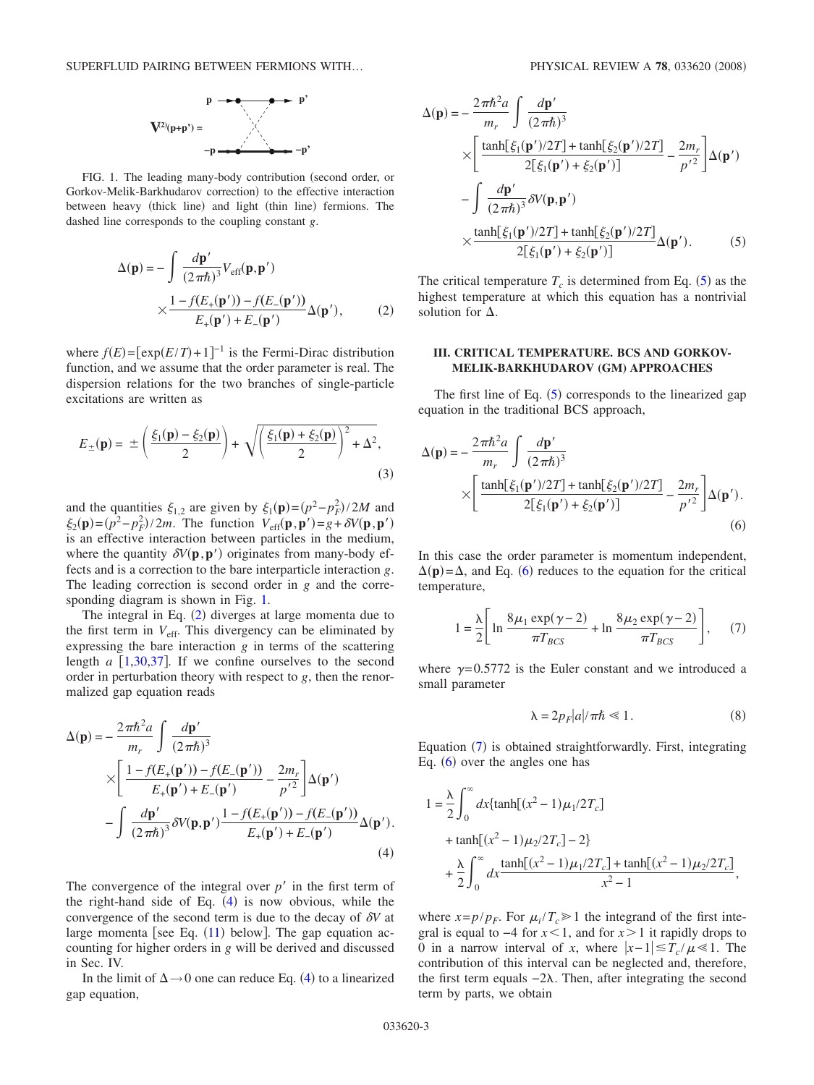

<span id="page-2-0"></span>FIG. 1. The leading many-body contribution (second order, or Gorkov-Melik-Barkhudarov correction) to the effective interaction between heavy (thick line) and light (thin line) fermions. The dashed line corresponds to the coupling constant *g*.

<span id="page-2-1"></span>
$$
\Delta(\mathbf{p}) = -\int \frac{d\mathbf{p}'}{(2\pi\hbar)^3} V_{\text{eff}}(\mathbf{p}, \mathbf{p}')
$$
  
 
$$
\times \frac{1 - f(E_+(\mathbf{p}')) - f(E_-(\mathbf{p}'))}{E_+(\mathbf{p}') + E_-(\mathbf{p}')} \Delta(\mathbf{p}'), \tag{2}
$$

where  $f(E) = [\exp(E/T) + 1]^{-1}$  is the Fermi-Dirac distribution function, and we assume that the order parameter is real. The dispersion relations for the two branches of single-particle excitations are written as

<span id="page-2-6"></span>
$$
E_{\pm}(\mathbf{p}) = \pm \left(\frac{\xi_1(\mathbf{p}) - \xi_2(\mathbf{p})}{2}\right) + \sqrt{\left(\frac{\xi_1(\mathbf{p}) + \xi_2(\mathbf{p})}{2}\right)^2 + \Delta^2},\tag{3}
$$

and the quantities  $\xi_{1,2}$  are given by  $\xi_1(\mathbf{p}) = (p^2 - p_F^2)/2M$  and  $\zeta_2(\mathbf{p}) = (p^2 - p_F^2)/2m$ . The function  $V_{\text{eff}}(\mathbf{p}, \mathbf{p}') = g + \delta V(\mathbf{p}, \mathbf{p}')$ is an effective interaction between particles in the medium, where the quantity  $\delta V(\mathbf{p}, \mathbf{p}')$  originates from many-body effects and is a correction to the bare interparticle interaction *g*. The leading correction is second order in *g* and the corresponding diagram is shown in Fig. [1.](#page-2-0)

The integral in Eq. ([2](#page-2-1)) diverges at large momenta due to the first term in  $V_{\text{eff}}$ . This divergency can be eliminated by expressing the bare interaction *g* in terms of the scattering length  $a \left[1,30,37\right]$  $a \left[1,30,37\right]$  $a \left[1,30,37\right]$  $a \left[1,30,37\right]$  $a \left[1,30,37\right]$ . If we confine ourselves to the second order in perturbation theory with respect to *g*, then the renormalized gap equation reads

<span id="page-2-2"></span>
$$
\Delta(\mathbf{p}) = -\frac{2\pi\hbar^2 a}{m_r} \int \frac{d\mathbf{p}'}{(2\pi\hbar)^3}
$$
  
\n
$$
\times \left[ \frac{1 - f(E_+(\mathbf{p}')) - f(E_-(\mathbf{p}'))}{E_+(\mathbf{p}') + E_-(\mathbf{p}')} - \frac{2m_r}{p'^2} \right] \Delta(\mathbf{p}')
$$
  
\n
$$
- \int \frac{d\mathbf{p}'}{(2\pi\hbar)^3} \delta V(\mathbf{p}, \mathbf{p}') \frac{1 - f(E_+(\mathbf{p}')) - f(E_-(\mathbf{p}'))}{E_+(\mathbf{p}') + E_-(\mathbf{p}')} \Delta(\mathbf{p}').
$$
\n(4)

The convergence of the integral over  $p'$  in the first term of the right-hand side of Eq.  $(4)$  $(4)$  $(4)$  is now obvious, while the convergence of the second term is due to the decay of  $\delta V$  at large momenta [see Eq.  $(11)$  $(11)$  $(11)$  below]. The gap equation accounting for higher orders in *g* will be derived and discussed in Sec. IV.

In the limit of  $\Delta \rightarrow 0$  one can reduce Eq. ([4](#page-2-2)) to a linearized gap equation,

<span id="page-2-3"></span>
$$
\Delta(\mathbf{p}) = -\frac{2\pi\hbar^2 a}{m_r} \int \frac{d\mathbf{p}'}{(2\pi\hbar)^3}
$$
  
\n
$$
\times \left[ \frac{\tanh[\xi_1(\mathbf{p'})/2T] + \tanh[\xi_2(\mathbf{p'})/2T]}{2[\xi_1(\mathbf{p'}) + \xi_2(\mathbf{p'})]} - \frac{2m_r}{p'^2} \right] \Delta(\mathbf{p'})
$$
  
\n
$$
- \int \frac{d\mathbf{p}'}{(2\pi\hbar)^3} \delta V(\mathbf{p}, \mathbf{p'})
$$
  
\n
$$
\times \frac{\tanh[\xi_1(\mathbf{p'})/2T] + \tanh[\xi_2(\mathbf{p'})/2T]}{2[\xi_1(\mathbf{p'}) + \xi_2(\mathbf{p'})]} \Delta(\mathbf{p'}).
$$
 (5)

The critical temperature  $T_c$  is determined from Eq. ([5](#page-2-3)) as the highest temperature at which this equation has a nontrivial solution for  $\Delta$ .

## **III. CRITICAL TEMPERATURE. BCS AND GORKOV-MELIK-BARKHUDAROV (GM) APPROACHES**

The first line of Eq.  $(5)$  $(5)$  $(5)$  corresponds to the linearized gap equation in the traditional BCS approach,

<span id="page-2-4"></span>
$$
\Delta(\mathbf{p}) = -\frac{2\pi\hbar^2 a}{m_r} \int \frac{d\mathbf{p}'}{(2\pi\hbar)^3}
$$

$$
\times \left[ \frac{\tanh[\xi_1(\mathbf{p'})/2T] + \tanh[\xi_2(\mathbf{p'})/2T]}{2[\xi_1(\mathbf{p'}) + \xi_2(\mathbf{p'})]} - \frac{2m_r}{p'^2} \right] \Delta(\mathbf{p'}).
$$
(6)

In this case the order parameter is momentum independent,  $\Delta(\mathbf{p}) = \Delta$ , and Eq. ([6](#page-2-4)) reduces to the equation for the critical temperature,

$$
1 = \frac{\lambda}{2} \left[ \ln \frac{8\mu_1 \exp(\gamma - 2)}{\pi T_{BCS}} + \ln \frac{8\mu_2 \exp(\gamma - 2)}{\pi T_{BCS}} \right],\tag{7}
$$

<span id="page-2-5"></span>where  $\gamma = 0.5772$  is the Euler constant and we introduced a small parameter

$$
\lambda = 2p_F|a|/\pi\hbar \ll 1. \tag{8}
$$

Equation ([7](#page-2-5)) is obtained straightforwardly. First, integrating Eq.  $(6)$  $(6)$  $(6)$  over the angles one has

$$
1 = \frac{\lambda}{2} \int_0^\infty dx \{ \tanh[(x^2 - 1)\mu_1/2T_c] + \tanh[(x^2 - 1)\mu_2/2T_c] - 2 \} + \frac{\lambda}{2} \int_0^\infty dx \frac{\tanh[(x^2 - 1)\mu_1/2T_c] + \tanh[(x^2 - 1)\mu_2/2T_c]}{x^2 - 1},
$$

where  $x = p/p_F$ . For  $\mu_i/T_c \ge 1$  the integrand of the first integral is equal to  $-4$  for  $x < 1$ , and for  $x > 1$  it rapidly drops to 0 in a narrow interval of *x*, where  $|x-1| \leq T_c / \mu \leq 1$ . The contribution of this interval can be neglected and, therefore, the first term equals  $-2\lambda$ . Then, after integrating the second term by parts, we obtain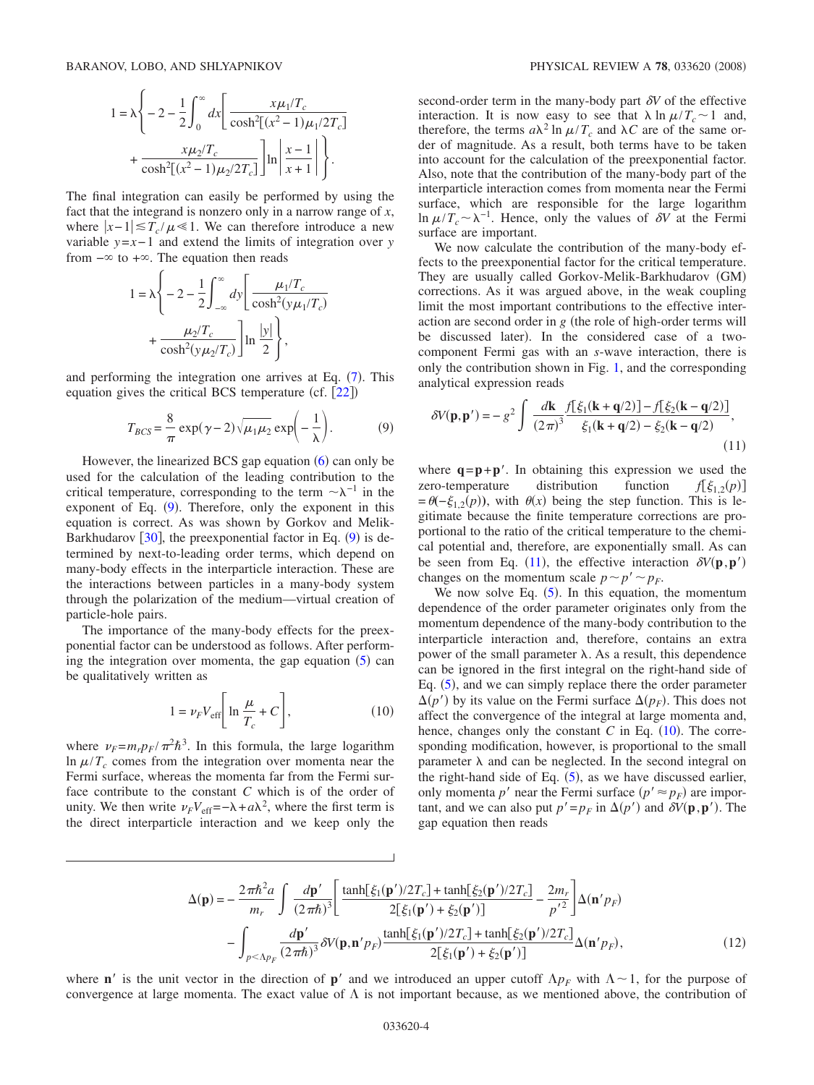$$
1 = \lambda \left\{ -2 - \frac{1}{2} \int_0^{\infty} dx \left[ \frac{x \mu_1 / T_c}{\cosh^2[(x^2 - 1)\mu_1 / 2T_c]} + \frac{x \mu_2 / T_c}{\cosh^2[(x^2 - 1)\mu_2 / 2T_c]} \right] \ln \left| \frac{x - 1}{x + 1} \right| \right\}.
$$

The final integration can easily be performed by using the fact that the integrand is nonzero only in a narrow range of *x*, where  $|x-1| \leq T_c / \mu \leq 1$ . We can therefore introduce a new variable *y*=*x*− 1 and extend the limits of integration over *y* from  $-\infty$  to  $+\infty$ . The equation then reads

$$
1 = \lambda \left\{ -2 - \frac{1}{2} \int_{-\infty}^{\infty} dy \left[ \frac{\mu_1/T_c}{\cosh^2(y\mu_1/T_c)} + \frac{\mu_2/T_c}{\cosh^2(y\mu_2/T_c)} \right] \ln \frac{|y|}{2} \right\},\,
$$

and performing the integration one arrives at Eq.  $(7)$  $(7)$  $(7)$ . This equation gives the critical BCS temperature (cf.  $[22]$  $[22]$  $[22]$ )

$$
T_{BCS} = \frac{8}{\pi} \exp(\gamma - 2)\sqrt{\mu_1 \mu_2} \exp\left(-\frac{1}{\lambda}\right).
$$
 (9)

<span id="page-3-1"></span>However, the linearized BCS gap equation  $(6)$  $(6)$  $(6)$  can only be used for the calculation of the leading contribution to the critical temperature, corresponding to the term  $\sim \lambda^{-1}$  in the exponent of Eq.  $(9)$  $(9)$  $(9)$ . Therefore, only the exponent in this equation is correct. As was shown by Gorkov and Melik-Barkhudarov  $[30]$  $[30]$  $[30]$ , the preexponential factor in Eq.  $(9)$  $(9)$  $(9)$  is determined by next-to-leading order terms, which depend on many-body effects in the interparticle interaction. These are the interactions between particles in a many-body system through the polarization of the medium—virtual creation of particle-hole pairs.

The importance of the many-body effects for the preexponential factor can be understood as follows. After performing the integration over momenta, the gap equation  $(5)$  $(5)$  $(5)$  can be qualitatively written as

$$
1 = \nu_F V_{\text{eff}} \left[ \ln \frac{\mu}{T_c} + C \right],\tag{10}
$$

<span id="page-3-2"></span>where  $\nu_F = m_r p_F / \pi^2 \hbar^3$ . In this formula, the large logarithm  $\ln \mu / T_c$  comes from the integration over momenta near the Fermi surface, whereas the momenta far from the Fermi surface contribute to the constant *C* which is of the order of unity. We then write  $\nu_F V_{\text{eff}} = -\lambda + a\lambda^2$ , where the first term is the direct interparticle interaction and we keep only the

second-order term in the many-body part  $\delta V$  of the effective interaction. It is now easy to see that  $\lambda \ln \mu / T_c \sim 1$  and, therefore, the terms  $a\lambda^2 \ln \mu / T_c$  and  $\lambda C$  are of the same order of magnitude. As a result, both terms have to be taken into account for the calculation of the preexponential factor. Also, note that the contribution of the many-body part of the interparticle interaction comes from momenta near the Fermi surface, which are responsible for the large logarithm ln  $\mu/T_c \sim \lambda^{-1}$ . Hence, only the values of *δV* at the Fermi surface are important.

We now calculate the contribution of the many-body effects to the preexponential factor for the critical temperature. They are usually called Gorkov-Melik-Barkhudarov GM corrections. As it was argued above, in the weak coupling limit the most important contributions to the effective interaction are second order in  $g$  (the role of high-order terms will be discussed later). In the considered case of a twocomponent Fermi gas with an *s*-wave interaction, there is only the contribution shown in Fig. [1,](#page-2-0) and the corresponding analytical expression reads

<span id="page-3-0"></span>
$$
\delta V(\mathbf{p}, \mathbf{p}') = -g^2 \int \frac{d\mathbf{k}}{(2\pi)^3} \frac{f[\xi_1(\mathbf{k} + \mathbf{q}/2)] - f[\xi_2(\mathbf{k} - \mathbf{q}/2)]}{\xi_1(\mathbf{k} + \mathbf{q}/2) - \xi_2(\mathbf{k} - \mathbf{q}/2)},
$$
\n(11)

where  $\mathbf{q} = \mathbf{p} + \mathbf{p}'$ . In obtaining this expression we used the zero-temperature distribution function  $f(\xi_1, \chi(p))$ zero-temperature distribution function  $f[\xi_{12}(p)]$  $= \theta(-\xi_{1,2}(p))$ , with  $\theta(x)$  being the step function. This is legitimate because the finite temperature corrections are proportional to the ratio of the critical temperature to the chemical potential and, therefore, are exponentially small. As can be seen from Eq. ([11](#page-3-0)), the effective interaction  $\delta V(\mathbf{p}, \mathbf{p}')$ changes on the momentum scale  $p \sim p' \sim p_F$ .

We now solve Eq.  $(5)$  $(5)$  $(5)$ . In this equation, the momentum dependence of the order parameter originates only from the momentum dependence of the many-body contribution to the interparticle interaction and, therefore, contains an extra power of the small parameter  $\lambda$ . As a result, this dependence can be ignored in the first integral on the right-hand side of Eq. ([5](#page-2-3)), and we can simply replace there the order parameter  $\Delta(p')$  by its value on the Fermi surface  $\Delta(p_F)$ . This does not affect the convergence of the integral at large momenta and, hence, changes only the constant  $C$  in Eq.  $(10)$  $(10)$  $(10)$ . The corresponding modification, however, is proportional to the small parameter  $\lambda$  and can be neglected. In the second integral on the right-hand side of Eq.  $(5)$  $(5)$  $(5)$ , as we have discussed earlier, only momenta  $p'$  near the Fermi surface  $(p' \approx p_F)$  are important, and we can also put  $p' = p_F$  in  $\Delta(p')$  and  $\delta V(\mathbf{p}, \mathbf{p'})$ . The gap equation then reads

$$
\Delta(\mathbf{p}) = -\frac{2\pi\hbar^2 a}{m_r} \int \frac{d\mathbf{p}'}{(2\pi\hbar)^3} \left[ \frac{\tanh[\xi_1(\mathbf{p'})/2T_c] + \tanh[\xi_2(\mathbf{p'})/2T_c]}{2[\xi_1(\mathbf{p'}) + \xi_2(\mathbf{p'})]} - \frac{2m_r}{p'^2} \right] \Delta(\mathbf{n}'p_F)
$$

$$
- \int_{p < \Lambda p_F} \frac{d\mathbf{p'}}{(2\pi\hbar)^3} \delta V(\mathbf{p}, \mathbf{n}'p_F) \frac{\tanh[\xi_1(\mathbf{p'})/2T_c] + \tanh[\xi_2(\mathbf{p'})/2T_c]}{2[\xi_1(\mathbf{p'}) + \xi_2(\mathbf{p'})]} \Delta(\mathbf{n}'p_F), \tag{12}
$$

<span id="page-3-3"></span>where **n**' is the unit vector in the direction of **p**' and we introduced an upper cutoff  $\Lambda p_F$  with  $\Lambda \sim 1$ , for the purpose of convergence at large momenta. The exact value of  $\Lambda$  is not important because, as we mentioned above, the contribution of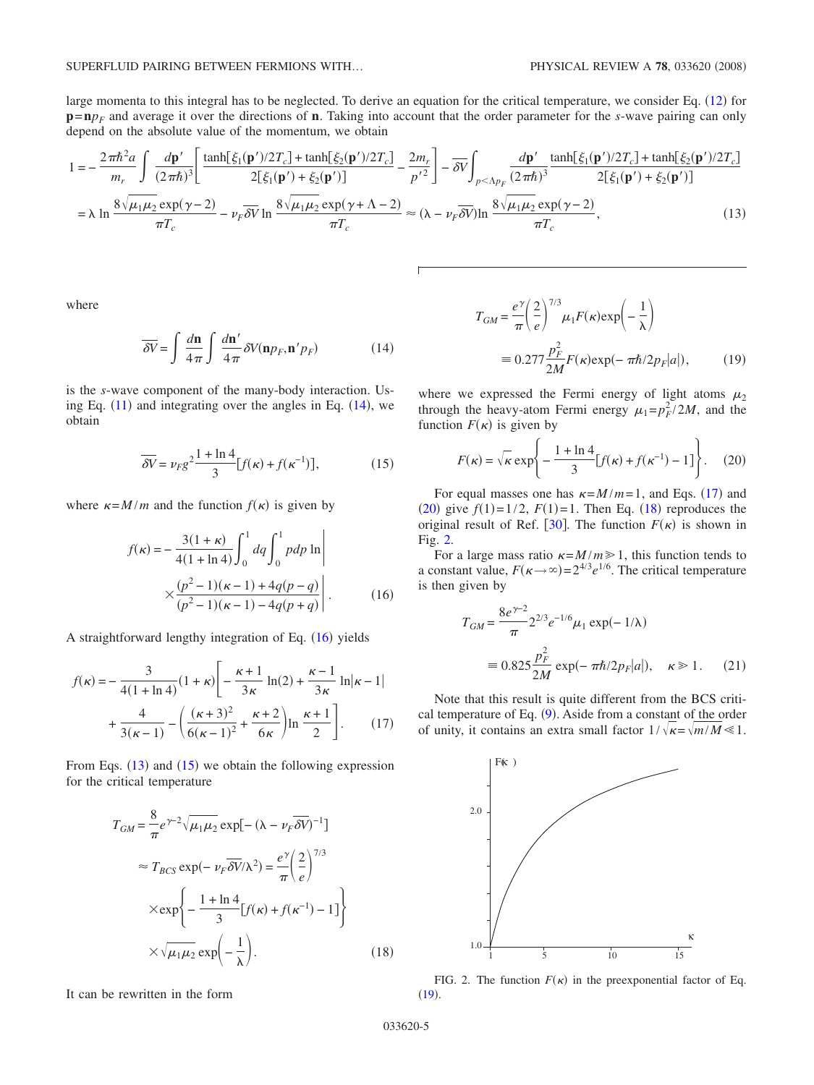large momenta to this integral has to be neglected. To derive an equation for the critical temperature, we consider Eq. ([12](#page-3-3)) for  $p = n p_F$  and average it over the directions of **n**. Taking into account that the order parameter for the *s*-wave pairing can only depend on the absolute value of the momentum, we obtain

<span id="page-4-2"></span>
$$
1 = -\frac{2\pi\hbar^2 a}{m_r} \int \frac{d\mathbf{p}'}{(2\pi\hbar)^3} \left[ \frac{\tanh[\xi_1(\mathbf{p'})/2T_c] + \tanh[\xi_2(\mathbf{p'})/2T_c]}{2[\xi_1(\mathbf{p'}) + \xi_2(\mathbf{p'})]} - \frac{2m_r}{p'^2} \right] - \overline{\delta V} \int_{p < \Lambda p_F} \frac{d\mathbf{p}'}{(2\pi\hbar)^3} \frac{\tanh[\xi_1(\mathbf{p'})/2T_c] + \tanh[\xi_2(\mathbf{p'})/2T_c]}{2[\xi_1(\mathbf{p'}) + \xi_2(\mathbf{p'})]}
$$
  
=  $\lambda \ln \frac{8\sqrt{\mu_1\mu_2} \exp(\gamma - 2)}{\pi T_c} - \nu_F \overline{\delta V} \ln \frac{8\sqrt{\mu_1\mu_2} \exp(\gamma + \Lambda - 2)}{\pi T_c} \approx (\lambda - \nu_F \overline{\delta V}) \ln \frac{8\sqrt{\mu_1\mu_2} \exp(\gamma - 2)}{\pi T_c},$  (13)

where

$$
\overline{\delta V} = \int \frac{d\mathbf{n}}{4\pi} \int \frac{d\mathbf{n}'}{4\pi} \delta V(\mathbf{n}p_F, \mathbf{n}'p_F)
$$
(14)

<span id="page-4-0"></span>is the *s*-wave component of the many-body interaction. Using Eq.  $(11)$  $(11)$  $(11)$  and integrating over the angles in Eq.  $(14)$  $(14)$  $(14)$ , we obtain

$$
\overline{\delta V} = \nu_F g^2 \frac{1 + \ln 4}{3} [f(\kappa) + f(\kappa^{-1})],\tag{15}
$$

<span id="page-4-3"></span><span id="page-4-1"></span>where  $\kappa = M/m$  and the function  $f(\kappa)$  is given by

$$
f(\kappa) = -\frac{3(1+\kappa)}{4(1+\ln 4)} \int_0^1 dq \int_0^1 pdp \ln \left| \frac{\kappa(p^2-1)(\kappa-1) + 4q(p-q)}{(p^2-1)(\kappa-1) - 4q(p+q)} \right|.
$$
 (16)

A straightforward lengthy integration of Eq. ([16](#page-4-1)) yields

<span id="page-4-4"></span>
$$
f(\kappa) = -\frac{3}{4(1+\ln 4)}(1+\kappa)\left[-\frac{\kappa+1}{3\kappa}\ln(2) + \frac{\kappa-1}{3\kappa}\ln|\kappa-1|\right] + \frac{4}{3(\kappa-1)} - \left(\frac{(\kappa+3)^2}{6(\kappa-1)^2} + \frac{\kappa+2}{6\kappa}\right)\ln\frac{\kappa+1}{2}\right].
$$
 (17)

From Eqs.  $(13)$  $(13)$  $(13)$  and  $(15)$  $(15)$  $(15)$  we obtain the following expression for the critical temperature

<span id="page-4-6"></span>
$$
T_{GM} = \frac{8}{\pi} e^{\gamma - 2} \sqrt{\mu_1 \mu_2} \exp[-(\lambda - \nu_F \overline{\delta V})^{-1}]
$$
  
\n
$$
\approx T_{BCS} \exp(-\nu_F \overline{\delta V}/\lambda^2) = \frac{e^{\gamma}}{\pi} \left(\frac{2}{e}\right)^{7/3}
$$
  
\n
$$
\times \exp\left\{-\frac{1 + \ln 4}{3} [f(\kappa) + f(\kappa^{-1}) - 1] \right\}
$$
  
\n
$$
\times \sqrt{\mu_1 \mu_2} \exp\left(-\frac{1}{\lambda}\right).
$$
 (18)

It can be rewritten in the form

<span id="page-4-8"></span>
$$
T_{GM} = \frac{e^{\gamma}}{\pi} \left(\frac{2}{e}\right)^{\gamma/3} \mu_1 F(\kappa) \exp\left(-\frac{1}{\lambda}\right)
$$
  

$$
\equiv 0.277 \frac{p_F^2}{2M} F(\kappa) \exp(-\pi \hbar / 2p_F |a|), \qquad (19)
$$

where we expressed the Fermi energy of light atoms  $\mu_2$ through the heavy-atom Fermi energy  $\mu_1 = p_F^2 / 2M$ , and the function  $F(\kappa)$  is given by

$$
F(\kappa) = \sqrt{\kappa} \exp\left\{-\frac{1+\ln 4}{3} [f(\kappa) + f(\kappa^{-1}) - 1]\right\}.
$$
 (20)

<span id="page-4-5"></span>For equal masses one has  $\kappa = M/m = 1$ , and Eqs. ([17](#page-4-4)) and ([20](#page-4-5)) give  $f(1)=1/2$ ,  $F(1)=1$ . Then Eq. ([18](#page-4-6)) reproduces the original result of Ref. [[30](#page-15-8)]. The function  $F(\kappa)$  is shown in Fig. [2.](#page-4-7)

For a large mass ratio  $\kappa = M/m \ge 1$ , this function tends to a constant value,  $F(\kappa \rightarrow \infty) = 2^{4/3} e^{1/6}$ . The critical temperature is then given by

<span id="page-4-9"></span>
$$
T_{GM} = \frac{8e^{\gamma - 2}}{\pi} 2^{2/3} e^{-1/6} \mu_1 \exp(-1/\lambda)
$$
  
= 0.825  $\frac{p_F^2}{2M}$  exp $(-\pi \hbar/2p_F|a|)$ ,  $\kappa \ge 1$ . (21)

Note that this result is quite different from the BCS criti-cal temperature of Eq. ([9](#page-3-1)). Aside from a constant of the order of unity, it contains an extra small factor  $1/\sqrt{\kappa} = \sqrt{m/M} \le 1$ .

<span id="page-4-7"></span>

FIG. 2. The function  $F(\kappa)$  in the preexponential factor of Eq.  $(19).$  $(19).$  $(19).$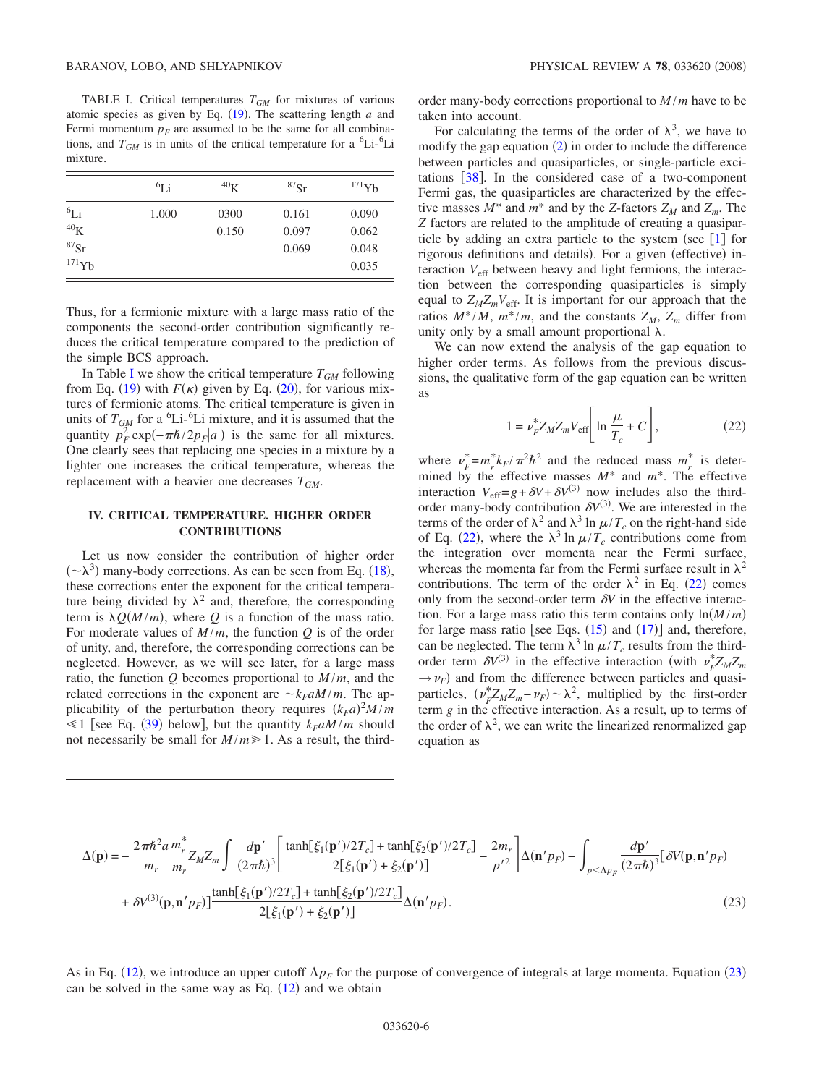<span id="page-5-0"></span>TABLE I. Critical temperatures  $T_{GM}$  for mixtures of various atomic species as given by Eq.  $(19)$  $(19)$  $(19)$ . The scattering length *a* and Fermi momentum  $p_F$  are assumed to be the same for all combinations, and  $T_{GM}$  is in units of the critical temperature for a <sup>6</sup>Li-<sup>6</sup>Li mixture.

|                      | ${}^{6}Li$ | $^{40}$ K | ${}^{87}Sr$ | $^{171}$ Yb |
|----------------------|------------|-----------|-------------|-------------|
| ${}^{6}Li$           | 1.000      | 0300      | 0.161       | 0.090       |
| $^{40}$ K            |            | 0.150     | 0.097       | 0.062       |
| ${}^{87}\mathrm{Sr}$ |            |           | 0.069       | 0.048       |
| $^{171}Yb$           |            |           |             | 0.035       |

Thus, for a fermionic mixture with a large mass ratio of the components the second-order contribution significantly reduces the critical temperature compared to the prediction of the simple BCS approach.

[I](#page-5-0)n Table I we show the critical temperature  $T_{GM}$  following from Eq. ([19](#page-4-8)) with  $F(\kappa)$  given by Eq. ([20](#page-4-5)), for various mixtures of fermionic atoms. The critical temperature is given in units of  $T_{GM}$  for a <sup>6</sup>Li-<sup>6</sup>Li mixture, and it is assumed that the quantity  $p_F^2 \exp(-\pi \hbar/2p_F|a|)$  is the same for all mixtures. One clearly sees that replacing one species in a mixture by a lighter one increases the critical temperature, whereas the replacement with a heavier one decreases  $T_{GM}$ .

## **IV. CRITICAL TEMPERATURE. HIGHER ORDER CONTRIBUTIONS**

Let us now consider the contribution of higher order  $({\sim}\lambda^3)$  many-body corrections. As can be seen from Eq. ([18](#page-4-6)), these corrections enter the exponent for the critical temperature being divided by  $\lambda^2$  and, therefore, the corresponding term is  $\lambda Q(M/m)$ , where Q is a function of the mass ratio. For moderate values of  $M/m$ , the function  $Q$  is of the order of unity, and, therefore, the corresponding corrections can be neglected. However, as we will see later, for a large mass ratio, the function  $Q$  becomes proportional to  $M/m$ , and the related corrections in the exponent are  $\sim k_F a M / m$ . The applicability of the perturbation theory requires  $(k_F a)^2 M/m$  $\leq 1$  [see Eq. ([39](#page-8-0)) below], but the quantity  $k_F a M / m$  should not necessarily be small for  $M/m \ge 1$ . As a result, the thirdorder many-body corrections proportional to *M* /*m* have to be taken into account.

For calculating the terms of the order of  $\lambda^3$ , we have to modify the gap equation  $(2)$  $(2)$  $(2)$  in order to include the difference between particles and quasiparticles, or single-particle excitations  $\lceil 38 \rceil$  $\lceil 38 \rceil$  $\lceil 38 \rceil$ . In the considered case of a two-component Fermi gas, the quasiparticles are characterized by the effective masses  $M^*$  and  $m^*$  and by the *Z*-factors  $Z_M$  and  $Z_m$ . The *Z* factors are related to the amplitude of creating a quasiparticle by adding an extra particle to the system (see  $\lceil 1 \rceil$  $\lceil 1 \rceil$  $\lceil 1 \rceil$  for rigorous definitions and details). For a given (effective) interaction *V*eff between heavy and light fermions, the interaction between the corresponding quasiparticles is simply equal to  $Z_M Z_m V_{\text{eff}}$ . It is important for our approach that the ratios  $M^*/M$ ,  $m^*/m$ , and the constants  $Z_M$ ,  $Z_m$  differ from unity only by a small amount proportional  $\lambda$ .

We can now extend the analysis of the gap equation to higher order terms. As follows from the previous discussions, the qualitative form of the gap equation can be written as

$$
1 = \nu_F^* Z_M Z_m V_{\text{eff}} \left[ \ln \frac{\mu}{T_c} + C \right],\tag{22}
$$

<span id="page-5-1"></span>where  $v_F^* = m_r^* k_F / \pi^2 \hbar^2$  and the reduced mass  $m_r^*$  is determined by the effective masses *M*\* and *m*\*. The effective interaction  $V_{\text{eff}}=g+\delta V+\delta V^{(3)}$  now includes also the thirdorder many-body contribution  $\delta V^{(3)}$ . We are interested in the terms of the order of  $\lambda^2$  and  $\lambda^3$  ln  $\mu/T_c$  on the right-hand side of Eq. ([22](#page-5-1)), where the  $\lambda^3 \ln \mu / T_c$  contributions come from the integration over momenta near the Fermi surface, whereas the momenta far from the Fermi surface result in  $\lambda^2$ contributions. The term of the order  $\lambda^2$  in Eq. ([22](#page-5-1)) comes only from the second-order term  $\delta V$  in the effective interaction. For a large mass ratio this term contains only  $ln(M/m)$ for large mass ratio [see Eqs.  $(15)$  $(15)$  $(15)$  and  $(17)$  $(17)$  $(17)$ ] and, therefore, can be neglected. The term  $\lambda^3 \ln \mu / T_c$  results from the thirdorder term  $\delta V^{(3)}$  in the effective interaction (with  $\nu_F^* Z_M Z_m$  $\rightarrow \nu_F$ ) and from the difference between particles and quasiparticles,  $(\nu_F^* Z_M Z_m - \nu_F) \sim \lambda^2$ , multiplied by the first-order term *g* in the effective interaction. As a result, up to terms of the order of  $\lambda^2$ , we can write the linearized renormalized gap equation as

<span id="page-5-2"></span>
$$
\Delta(\mathbf{p}) = -\frac{2\pi\hbar^2 a}{m_r} \frac{m_r^*}{m_r} Z_M Z_m \int \frac{d\mathbf{p}'}{(2\pi\hbar)^3} \left[ \frac{\tanh[\xi_1(\mathbf{p'})/2T_c] + \tanh[\xi_2(\mathbf{p'})/2T_c]}{2[\xi_1(\mathbf{p'}) + \xi_2(\mathbf{p'})]} - \frac{2m_r}{p'^2} \right] \Delta(\mathbf{n}'p_F) - \int_{p < \Lambda p_F} \frac{d\mathbf{p'}}{(2\pi\hbar)^3} [\delta V(\mathbf{p}, \mathbf{n}'p_F) + \delta V^{(3)}(\mathbf{p}, \mathbf{n}'p_F)] \frac{\tanh[\xi_1(\mathbf{p'})/2T_c] + \tanh[\xi_2(\mathbf{p'})/2T_c]}{2[\xi_1(\mathbf{p'}) + \xi_2(\mathbf{p'})]} \Delta(\mathbf{n}'p_F).
$$
\n(23)

As in Eq. ([12](#page-3-3)), we introduce an upper cutoff  $\Lambda p_F$  for the purpose of convergence of integrals at large momenta. Equation ([23](#page-5-2)) can be solved in the same way as Eq.  $(12)$  $(12)$  $(12)$  and we obtain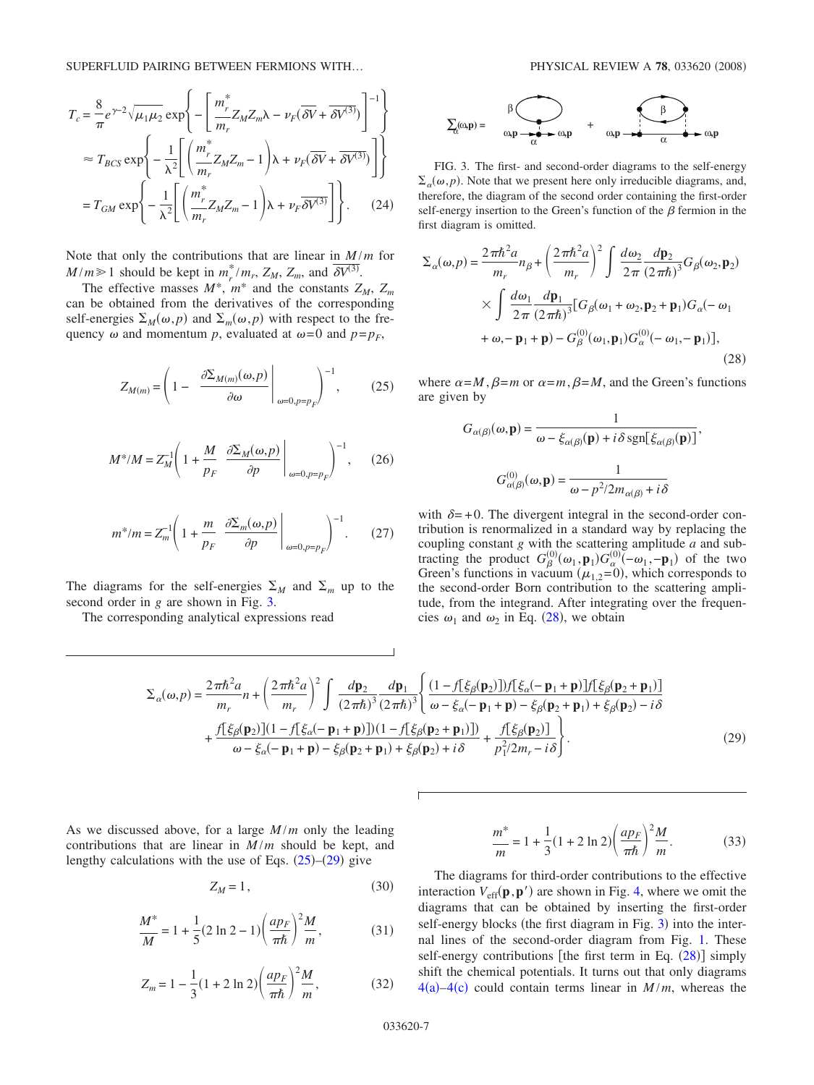<span id="page-6-3"></span>
$$
T_c = \frac{8}{\pi} e^{\gamma - 2} \sqrt{\mu_1 \mu_2} \exp \left\{ - \left[ \frac{m_r^*}{m_r} Z_M Z_m \lambda - \nu_F (\overline{\delta V} + \overline{\delta V^{(3)}}) \right]^{-1} \right\}
$$
  

$$
\approx T_{BCS} \exp \left\{ - \frac{1}{\lambda^2} \left[ \left( \frac{m_r^*}{m_r} Z_M Z_m - 1 \right) \lambda + \nu_F (\overline{\delta V} + \overline{\delta V^{(3)}}) \right] \right\}
$$
  

$$
= T_{GM} \exp \left\{ - \frac{1}{\lambda^2} \left[ \left( \frac{m_r^*}{m_r} Z_M Z_m - 1 \right) \lambda + \nu_F \overline{\delta V^{(3)}} \right] \right\}. \tag{24}
$$

Note that only the contributions that are linear in  $M/m$  for  $M/m \ge 1$  should be kept in  $m_r^*/m_r$ ,  $Z_M$ ,  $Z_m$ , and  $\delta V^{(3)}$ .

The effective masses  $M^*$ ,  $m^*$  and the constants  $Z_M$ ,  $Z_m$ can be obtained from the derivatives of the corresponding self-energies  $\Sigma_M(\omega, p)$  and  $\Sigma_m(\omega, p)$  with respect to the frequency  $\omega$  and momentum *p*, evaluated at  $\omega = 0$  and  $p = p_F$ ,

<span id="page-6-2"></span>
$$
Z_{M(m)} = \left(1 - \left. \frac{\partial \Sigma_{M(m)}(\omega, p)}{\partial \omega} \right|_{\omega = 0, p = p_F} \right)^{-1}, \quad (25)
$$

$$
M^*/M = Z_M^{-1} \left( 1 + \frac{M}{p_F} \left. \frac{\partial \Sigma_M(\omega, p)}{\partial p} \right|_{\omega = 0, p = p_F} \right)^{-1}, \qquad (26)
$$

<span id="page-6-6"></span>
$$
m^*/m = Z_m^{-1} \left( 1 + \frac{m}{p_F} \left. \frac{\partial \Sigma_m(\omega, p)}{\partial p} \right|_{\omega = 0, p = p_F} \right)^{-1} . \tag{27}
$$

The diagrams for the self-energies  $\Sigma_M$  and  $\Sigma_m$  up to the second order in *g* are shown in Fig. [3.](#page-6-0)

The corresponding analytical expressions read

<span id="page-6-0"></span>

FIG. 3. The first- and second-order diagrams to the self-energy  $\Sigma_{\alpha}(\omega, p)$ . Note that we present here only irreducible diagrams, and, therefore, the diagram of the second order containing the first-order self-energy insertion to the Green's function of the  $\beta$  fermion in the first diagram is omitted.

<span id="page-6-1"></span>
$$
\Sigma_{\alpha}(\omega, p) = \frac{2\pi\hbar^2 a}{m_r} n_{\beta} + \left(\frac{2\pi\hbar^2 a}{m_r}\right)^2 \int \frac{d\omega_2}{2\pi} \frac{d\mathbf{p}_2}{(2\pi\hbar)^3} G_{\beta}(\omega_2, \mathbf{p}_2)
$$
  
 
$$
\times \int \frac{d\omega_1}{2\pi} \frac{d\mathbf{p}_1}{(2\pi\hbar)^3} [G_{\beta}(\omega_1 + \omega_2, \mathbf{p}_2 + \mathbf{p}_1) G_{\alpha}(-\omega_1 + \omega_2 - \mathbf{p}_1 + \mathbf{p}) - G_{\beta}^{(0)}(\omega_1, \mathbf{p}_1) G_{\alpha}^{(0)}(-\omega_1, -\mathbf{p}_1)], \tag{28}
$$

where  $\alpha = M$ ,  $\beta = m$  or  $\alpha = m$ ,  $\beta = M$ , and the Green's functions are given by

$$
G_{\alpha(\beta)}(\omega, \mathbf{p}) = \frac{1}{\omega - \xi_{\alpha(\beta)}(\mathbf{p}) + i\delta \operatorname{sgn}[\xi_{\alpha(\beta)}(\mathbf{p})]},
$$

$$
G_{\alpha(\beta)}^{(0)}(\omega, \mathbf{p}) = \frac{1}{\omega - p^2/2m_{\alpha(\beta)} + i\delta}
$$

with  $\delta = +0$ . The divergent integral in the second-order contribution is renormalized in a standard way by replacing the coupling constant *g* with the scattering amplitude *a* and subtracting the product  $G_{\beta}^{(0)}(\omega_1, \mathbf{p}_1) G_{\alpha}^{(0)}(-\omega_1, -\mathbf{p}_1)$  of the two Green's functions in vacuum ( $\mu_{1,2}$ =0), which corresponds to the second-order Born contribution to the scattering amplitude, from the integrand. After integrating over the frequencies  $\omega_1$  and  $\omega_2$  in Eq. ([28](#page-6-1)), we obtain

$$
\Sigma_{\alpha}(\omega, p) = \frac{2\pi\hbar^2 a}{m_r} n + \left(\frac{2\pi\hbar^2 a}{m_r}\right)^2 \int \frac{dp_2}{(2\pi\hbar)^3} \frac{dp_1}{(2\pi\hbar)^3} \left(\frac{(1 - f[\xi_{\beta}(\mathbf{p}_2)]) f[\xi_{\alpha}(-\mathbf{p}_1 + \mathbf{p})] f[\xi_{\beta}(\mathbf{p}_2 + \mathbf{p}_1)]}{\omega - \xi_{\alpha}(-\mathbf{p}_1 + \mathbf{p}) - \xi_{\beta}(\mathbf{p}_2 + \mathbf{p}_1) + \xi_{\beta}(\mathbf{p}_2) - i\delta} + \frac{f[\xi_{\beta}(\mathbf{p}_2)][(1 - f[\xi_{\alpha}(-\mathbf{p}_1 + \mathbf{p})]) (1 - f[\xi_{\beta}(\mathbf{p}_2 + \mathbf{p}_1)])}{\omega - \xi_{\alpha}(-\mathbf{p}_1 + \mathbf{p}) - \xi_{\beta}(\mathbf{p}_2 + \mathbf{p}_1) + \xi_{\beta}(\mathbf{p}_2) + i\delta} + \frac{f[\xi_{\beta}(\mathbf{p}_2)]}{p_1^2/2m_r - i\delta} \right).
$$
\n(29)

As we discussed above, for a large *M* /*m* only the leading contributions that are linear in *M* /*m* should be kept, and lengthy calculations with the use of Eqs.  $(25)-(29)$  $(25)-(29)$  $(25)-(29)$  $(25)-(29)$  $(25)-(29)$  give

$$
Z_M = 1, \t\t(30)
$$

<span id="page-6-4"></span>
$$
\frac{M^*}{M} = 1 + \frac{1}{5}(2 \ln 2 - 1) \left(\frac{ap_F}{\pi \hbar}\right)^2 \frac{M}{m},
$$
\n(31)

$$
Z_m = 1 - \frac{1}{3} (1 + 2 \ln 2) \left( \frac{ap_F}{\pi \hbar} \right)^2 \frac{M}{m},
$$
 (32)

$$
\frac{m^*}{m} = 1 + \frac{1}{3}(1 + 2\ln 2) \left(\frac{ap_F}{\pi\hbar}\right)^2 \frac{M}{m}.
$$
 (33)

<span id="page-6-5"></span>The diagrams for third-order contributions to the effective interaction  $V_{\text{eff}}(\mathbf{p}, \mathbf{p}')$  are shown in Fig. [4,](#page-7-0) where we omit the diagrams that can be obtained by inserting the first-order self-energy blocks (the first diagram in Fig. [3](#page-6-0)) into the internal lines of the second-order diagram from Fig. [1.](#page-2-0) These self-energy contributions [the first term in Eq.  $(28)$  $(28)$  $(28)$ ] simply shift the chemical potentials. It turns out that only diagrams  $4(a) - 4(c)$  $4(a) - 4(c)$  could contain terms linear in  $M/m$ , whereas the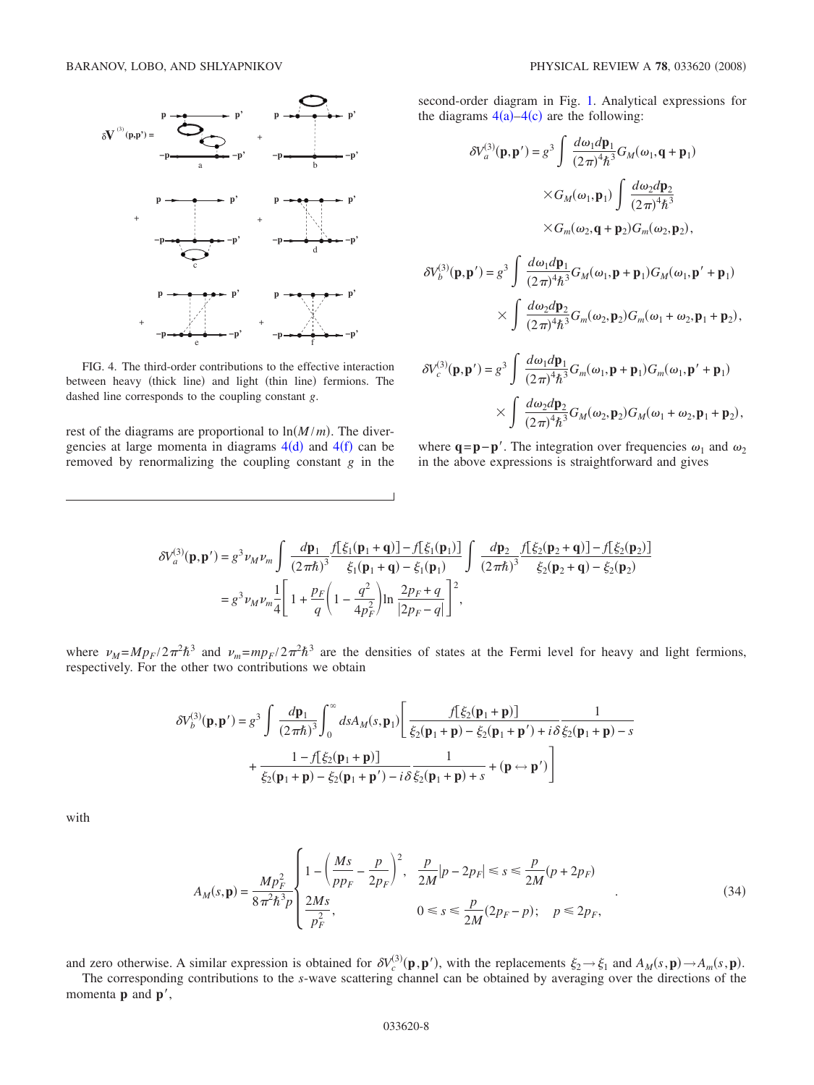<span id="page-7-0"></span>

FIG. 4. The third-order contributions to the effective interaction between heavy (thick line) and light (thin line) fermions. The dashed line corresponds to the coupling constant *g*.

rest of the diagrams are proportional to  $\ln(M/m)$ . The divergencies at large momenta in diagrams  $4(d)$  $4(d)$  and  $4(f)$  can be removed by renormalizing the coupling constant *g* in the second-order diagram in Fig. [1.](#page-2-0) Analytical expressions for the diagrams  $4(a) - 4(c)$  $4(a) - 4(c)$  are the following:

$$
\delta V_a^{(3)}(\mathbf{p}, \mathbf{p}') = g^3 \int \frac{d\omega_1 d\mathbf{p}_1}{(2\pi)^4 \hbar^3} G_M(\omega_1, \mathbf{q} + \mathbf{p}_1)
$$

$$
\times G_M(\omega_1, \mathbf{p}_1) \int \frac{d\omega_2 d\mathbf{p}_2}{(2\pi)^4 \hbar^3}
$$

$$
\times G_m(\omega_2, \mathbf{q} + \mathbf{p}_2) G_m(\omega_2, \mathbf{p}_2),
$$

$$
\delta V_b^{(3)}(\mathbf{p}, \mathbf{p}') = g^3 \int \frac{d\omega_1 d\mathbf{p}_1}{(2\pi)^4 \hbar^3} G_M(\omega_1, \mathbf{p} + \mathbf{p}_1) G_M(\omega_1, \mathbf{p}' + \mathbf{p}_1)
$$

$$
\times \int \frac{d\omega_2 d\mathbf{p}_2}{(2\pi)^4 \hbar^3} G_m(\omega_2, \mathbf{p}_2) G_m(\omega_1 + \omega_2, \mathbf{p}_1 + \mathbf{p}_2),
$$

$$
\delta V_c^{(3)}(\mathbf{p}, \mathbf{p}') = g^3 \int \frac{d\omega_1 d\mathbf{p}_1}{(2\pi)^4 \hbar^3} G_m(\omega_1, \mathbf{p} + \mathbf{p}_1) G_m(\omega_1, \mathbf{p}' + \mathbf{p}_1)
$$
  
 
$$
\times \int \frac{d\omega_2 d\mathbf{p}_2}{(2\pi)^4 \hbar^3} G_M(\omega_2, \mathbf{p}_2) G_M(\omega_1 + \omega_2, \mathbf{p}_1 + \mathbf{p}_2),
$$

where  $\mathbf{q} = \mathbf{p} - \mathbf{p}'$ . The integration over frequencies  $\omega_1$  and  $\omega_2$ in the above expressions is straightforward and gives

$$
\begin{split} \delta V^{(3)}_{a}(\mathbf{p},\mathbf{p}') &= g^3 \nu_M \nu_m \int \frac{d\mathbf{p}_1}{(2\pi\hbar)^3} \frac{f[\xi_1(\mathbf{p}_1+\mathbf{q})] - f[\xi_1(\mathbf{p}_1)]}{\xi_1(\mathbf{p}_1+\mathbf{q}) - \xi_1(\mathbf{p}_1)} \int \frac{d\mathbf{p}_2}{(2\pi\hbar)^3} \frac{f[\xi_2(\mathbf{p}_2+\mathbf{q})] - f[\xi_2(\mathbf{p}_2)]}{\xi_2(\mathbf{p}_2+\mathbf{q}) - \xi_2(\mathbf{p}_2)} \\ &= g^3 \nu_M \nu_m \frac{1}{4} \Bigg[ 1 + \frac{p_F}{q} \Big( 1 - \frac{q^2}{4p_F^2} \Big) \ln \frac{2p_F + q}{|2p_F - q|} \Bigg]^2, \end{split}
$$

where  $\nu_M = M p_F / 2 \pi^2 \hbar^3$  and  $\nu_m = m p_F / 2 \pi^2 \hbar^3$  are the densities of states at the Fermi level for heavy and light fermions, respectively. For the other two contributions we obtain

$$
\delta V_b^{(3)}(\mathbf{p}, \mathbf{p}') = g^3 \int \frac{d\mathbf{p}_1}{(2\pi\hbar)^3} \int_0^\infty ds A_M(s, \mathbf{p}_1) \left[ \frac{f[\xi_2(\mathbf{p}_1 + \mathbf{p})]}{\xi_2(\mathbf{p}_1 + \mathbf{p}) - \xi_2(\mathbf{p}_1 + \mathbf{p}') + i\delta} \frac{1}{\xi_2(\mathbf{p}_1 + \mathbf{p}) - s} + \frac{1 - f[\xi_2(\mathbf{p}_1 + \mathbf{p})]}{\xi_2(\mathbf{p}_1 + \mathbf{p}) - \xi_2(\mathbf{p}_1 + \mathbf{p}') - i\delta} \frac{1}{\xi_2(\mathbf{p}_1 + \mathbf{p}) + s} + (\mathbf{p} \leftrightarrow \mathbf{p}') \right]
$$

<span id="page-7-1"></span>with

$$
A_M(s, \mathbf{p}) = \frac{Mp_F^2}{8\pi^2 \hbar^3 p} \begin{cases} 1 - \left(\frac{Ms}{pp_F} - \frac{p}{2p_F}\right)^2, & \frac{p}{2M}|p - 2p_F| \le s \le \frac{p}{2M}(p + 2p_F) \\ \frac{2Ms}{p_F^2}, & 0 \le s \le \frac{p}{2M}(2p_F - p); \quad p \le 2p_F, \end{cases}
$$
(34)

and zero otherwise. A similar expression is obtained for  $\delta V_c^{(3)}(\mathbf{p}, \mathbf{p}')$ , with the replacements  $\xi_2 \rightarrow \xi_1$  and  $A_M(s, \mathbf{p}) \rightarrow A_m(s, \mathbf{p})$ .

The corresponding contributions to the *s*-wave scattering channel can be obtained by averaging over the directions of the momenta **p** and **p**',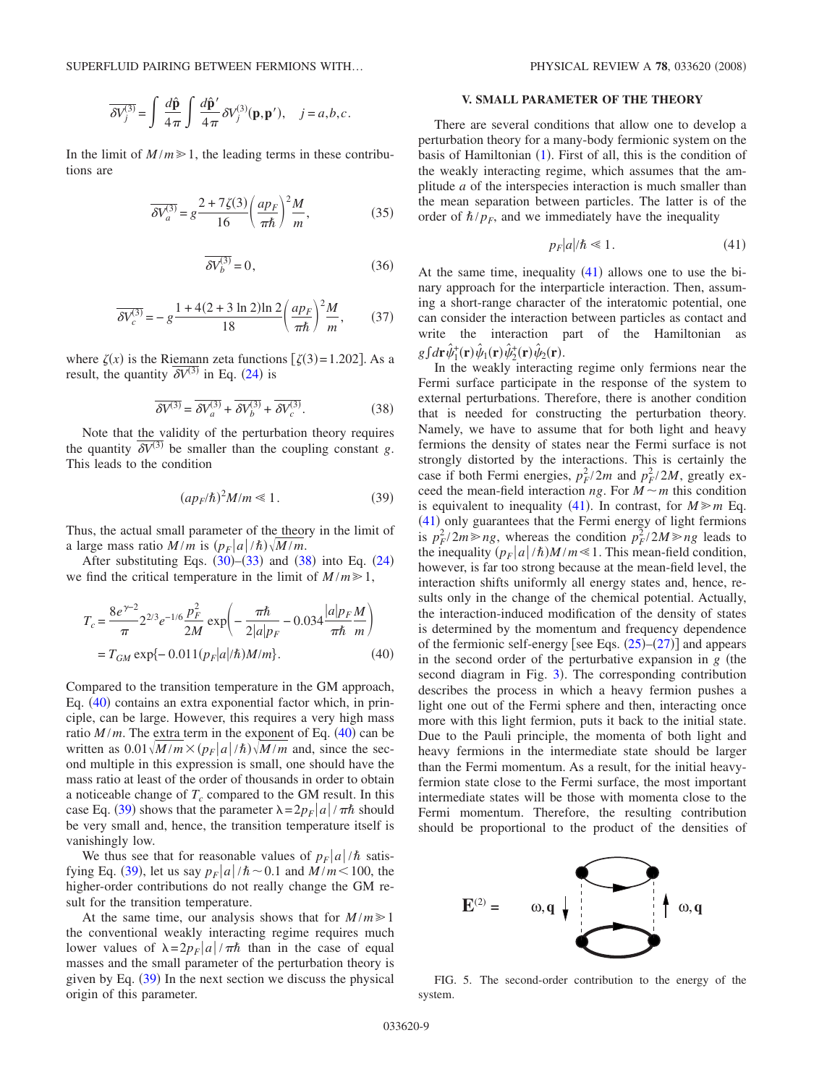SUPERFLUID PAIRING BETWEEN FERMIONS WITH... PHYSICAL REVIEW A 78, 033620 (2008)

$$
\overline{\delta V_j^{(3)}} = \int \frac{d\hat{\mathbf{p}}}{4\pi} \int \frac{d\hat{\mathbf{p}}'}{4\pi} \delta V_j^{(3)}(\mathbf{p}, \mathbf{p}'), \quad j = a, b, c.
$$

In the limit of  $M/m \ge 1$ , the leading terms in these contributions are

$$
\overline{\delta V_a^{(3)}} = g \frac{2 + 7\zeta(3)}{16} \left(\frac{ap_F}{\pi \hbar}\right)^2 \frac{M}{m},\tag{35}
$$

$$
\overline{\delta V_b^{(3)}} = 0,\t(36)
$$

$$
\overline{\delta V_c^{(3)}} = -g \frac{1 + 4(2 + 3 \ln 2) \ln 2}{18} \left(\frac{ap_F}{\pi \hbar}\right)^2 \frac{M}{m},\qquad(37)
$$

where  $\zeta(x)$  is the Riemann zeta functions  $\left[\zeta(3) = 1.202\right]$ . As a result, the quantity  $\overline{\delta V^{(3)}}$  in Eq. ([24](#page-6-3)) is

$$
\overline{\delta V^{(3)}} = \overline{\delta V_a^{(3)}} + \overline{\delta V_b^{(3)}} + \overline{\delta V_c^{(3)}}.
$$
 (38)

<span id="page-8-1"></span>Note that the validity of the perturbation theory requires the quantity  $\delta V^{(3)}$  be smaller than the coupling constant *g*. This leads to the condition

$$
(ap_F/\hbar)^2 M/m \ll 1.
$$
 (39)

<span id="page-8-0"></span>Thus, the actual small parameter of the theory in the limit of a large mass ratio  $M/m$  is  $(p_F|a|/\hbar)\sqrt{M/m}$ .

After substituting Eqs.  $(30)$  $(30)$  $(30)$ – $(33)$  $(33)$  $(33)$  and  $(38)$  $(38)$  $(38)$  into Eq.  $(24)$  $(24)$  $(24)$ we find the critical temperature in the limit of  $M/m \ge 1$ ,

<span id="page-8-2"></span>
$$
T_c = \frac{8e^{\gamma - 2}}{\pi} 2^{2/3} e^{-1/6} \frac{p_F^2}{2M} \exp\left(-\frac{\pi \hbar}{2|a|p_F} - 0.034 \frac{|a|p_F M}{\pi \hbar m}\right)
$$
  
=  $T_{GM} \exp\{-0.011(p_F|a/\hbar)M/m\}$ . (40)

Compared to the transition temperature in the GM approach, Eq. ([40](#page-8-2)) contains an extra exponential factor which, in principle, can be large. However, this requires a very high mass ratio  $M/m$ . The extra term in the exponent of Eq.  $(40)$  $(40)$  $(40)$  can be written as  $0.01 \sqrt{M/m} \times (p_F|a|/\hbar) \sqrt{M/m}$  and, since the second multiple in this expression is small, one should have the mass ratio at least of the order of thousands in order to obtain a noticeable change of  $T_c$  compared to the GM result. In this case Eq. ([39](#page-8-0)) shows that the parameter  $\lambda = 2p_F |a| / \pi \hbar$  should be very small and, hence, the transition temperature itself is vanishingly low.

We thus see that for reasonable values of  $p_F |a|/\hbar$  satis-fying Eq. ([39](#page-8-0)), let us say  $p_F |a| / h \sim 0.1$  and  $M/m < 100$ , the higher-order contributions do not really change the GM result for the transition temperature.

At the same time, our analysis shows that for  $M/m \ge 1$ the conventional weakly interacting regime requires much lower values of  $\lambda = 2p_F |a| / \pi \hbar$  than in the case of equal masses and the small parameter of the perturbation theory is given by Eq.  $(39)$  $(39)$  $(39)$  In the next section we discuss the physical origin of this parameter.

### **V. SMALL PARAMETER OF THE THEORY**

There are several conditions that allow one to develop a perturbation theory for a many-body fermionic system on the basis of Hamiltonian  $(1)$  $(1)$  $(1)$ . First of all, this is the condition of the weakly interacting regime, which assumes that the amplitude *a* of the interspecies interaction is much smaller than the mean separation between particles. The latter is of the order of  $\hbar / p_F$ , and we immediately have the inequality

$$
p_F|a|/\hbar \ll 1. \tag{41}
$$

<span id="page-8-3"></span>At the same time, inequality  $(41)$  $(41)$  $(41)$  allows one to use the binary approach for the interparticle interaction. Then, assuming a short-range character of the interatomic potential, one can consider the interaction between particles as contact and write the interaction part of the Hamiltonian as  $g\int d\mathbf{r}\,\hat{\psi}_1^{\dagger}(\mathbf{r})\hat{\psi}_1(\mathbf{r})\hat{\psi}_2^{\dagger}(\mathbf{r})\hat{\psi}_2^{\dagger}(\mathbf{r}).$ 

In the weakly interacting regime only fermions near the Fermi surface participate in the response of the system to external perturbations. Therefore, there is another condition that is needed for constructing the perturbation theory. Namely, we have to assume that for both light and heavy fermions the density of states near the Fermi surface is not strongly distorted by the interactions. This is certainly the case if both Fermi energies,  $p_F^2/2m$  and  $p_F^2/2M$ , greatly exceed the mean-field interaction *ng*. For  $M \sim m$  this condition is equivalent to inequality ([41](#page-8-3)). In contrast, for  $M \ge m$  Eq. ([41](#page-8-3)) only guarantees that the Fermi energy of light fermions is  $p_F^2 / 2m \ge ng$ , whereas the condition  $p_F^2 / 2M \ge ng$  leads to the inequality  $(p_F|a|/\hbar)M/m \ll 1$ . This mean-field condition, however, is far too strong because at the mean-field level, the interaction shifts uniformly all energy states and, hence, results only in the change of the chemical potential. Actually, the interaction-induced modification of the density of states is determined by the momentum and frequency dependence of the fermionic self-energy [see Eqs.  $(25)-(27)$  $(25)-(27)$  $(25)-(27)$  $(25)-(27)$  $(25)-(27)$ ] and appears in the second order of the perturbative expansion in  $g$  (the second diagram in Fig. [3](#page-6-0)). The corresponding contribution describes the process in which a heavy fermion pushes a light one out of the Fermi sphere and then, interacting once more with this light fermion, puts it back to the initial state. Due to the Pauli principle, the momenta of both light and heavy fermions in the intermediate state should be larger than the Fermi momentum. As a result, for the initial heavyfermion state close to the Fermi surface, the most important intermediate states will be those with momenta close to the Fermi momentum. Therefore, the resulting contribution should be proportional to the product of the densities of

<span id="page-8-4"></span>

FIG. 5. The second-order contribution to the energy of the system.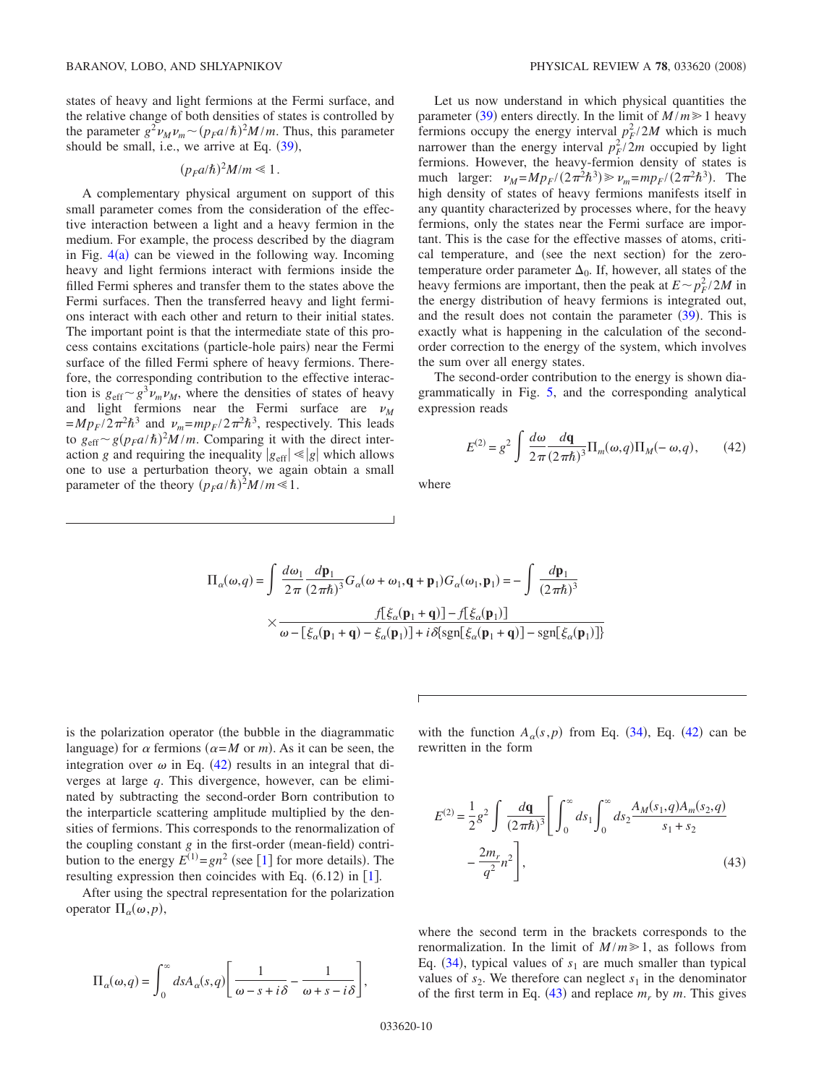states of heavy and light fermions at the Fermi surface, and the relative change of both densities of states is controlled by the parameter  $g^2 \nu_M \nu_m \sim (p_F a/\hbar)^2 M/m$ . Thus, this parameter should be small, i.e., we arrive at Eq.  $(39)$  $(39)$  $(39)$ ,

# $(p_F a/\hbar)^2 M/m \ll 1$ .

A complementary physical argument on support of this small parameter comes from the consideration of the effective interaction between a light and a heavy fermion in the medium. For example, the process described by the diagram in Fig.  $4(a)$  $4(a)$  can be viewed in the following way. Incoming heavy and light fermions interact with fermions inside the filled Fermi spheres and transfer them to the states above the Fermi surfaces. Then the transferred heavy and light fermions interact with each other and return to their initial states. The important point is that the intermediate state of this process contains excitations (particle-hole pairs) near the Fermi surface of the filled Fermi sphere of heavy fermions. Therefore, the corresponding contribution to the effective interaction is  $g_{\text{eff}} \sim g^3 \nu_m \nu_M$ , where the densities of states of heavy and light fermions near the Fermi surface are  $\nu_M$  $=Mp_F/2\pi^2\hbar^3$  and  $\nu_m=mp_F/2\pi^2\hbar^3$ , respectively. This leads to  $g_{\text{eff}} \sim g(p_F a/\hbar)^2 M/m$ . Comparing it with the direct interaction *g* and requiring the inequality  $|g_{\text{eff}}| \ll |g|$  which allows one to use a perturbation theory, we again obtain a small parameter of the theory  $(p_F a/\hbar)^2 M/m \ll 1$ .

Let us now understand in which physical quantities the parameter ([39](#page-8-0)) enters directly. In the limit of  $M/m \ge 1$  heavy fermions occupy the energy interval  $p_F^2/2M$  which is much narrower than the energy interval  $p_F^2/2m$  occupied by light fermions. However, the heavy-fermion density of states is much larger:  $\nu_M = M p_F / (2 \pi^2 \hbar^3) \gg \nu_m = m p_F / (2 \pi^2 \hbar^3)$ . The high density of states of heavy fermions manifests itself in any quantity characterized by processes where, for the heavy fermions, only the states near the Fermi surface are important. This is the case for the effective masses of atoms, critical temperature, and (see the next section) for the zerotemperature order parameter  $\Delta_0$ . If, however, all states of the heavy fermions are important, then the peak at  $E \sim p_F^2 / 2M$  in the energy distribution of heavy fermions is integrated out, and the result does not contain the parameter  $(39)$  $(39)$  $(39)$ . This is exactly what is happening in the calculation of the secondorder correction to the energy of the system, which involves the sum over all energy states.

The second-order contribution to the energy is shown diagrammatically in Fig. [5,](#page-8-4) and the corresponding analytical expression reads

$$
E^{(2)} = g^2 \int \frac{d\omega}{2\pi} \frac{d\mathbf{q}}{(2\pi\hbar)^3} \Pi_m(\omega, q) \Pi_M(-\omega, q), \qquad (42)
$$

<span id="page-9-0"></span>where

$$
\Pi_{\alpha}(\omega, q) = \int \frac{d\omega_1}{2\pi} \frac{d\mathbf{p}_1}{(2\pi\hbar)^3} G_{\alpha}(\omega + \omega_1, \mathbf{q} + \mathbf{p}_1) G_{\alpha}(\omega_1, \mathbf{p}_1) = -\int \frac{d\mathbf{p}_1}{(2\pi\hbar)^3}
$$

$$
\times \frac{f[\xi_{\alpha}(\mathbf{p}_1 + \mathbf{q})] - f[\xi_{\alpha}(\mathbf{p}_1)]}{\omega - [\xi_{\alpha}(\mathbf{p}_1 + \mathbf{q}) - \xi_{\alpha}(\mathbf{p}_1)] + i \delta[\text{sgn}[\xi_{\alpha}(\mathbf{p}_1 + \mathbf{q})] - \text{sgn}[\xi_{\alpha}(\mathbf{p}_1)]]}
$$

is the polarization operator (the bubble in the diagrammatic language) for  $\alpha$  fermions ( $\alpha = M$  or *m*). As it can be seen, the integration over  $\omega$  in Eq. ([42](#page-9-0)) results in an integral that diverges at large *q*. This divergence, however, can be eliminated by subtracting the second-order Born contribution to the interparticle scattering amplitude multiplied by the densities of fermions. This corresponds to the renormalization of the coupling constant  $g$  in the first-order (mean-field) contribution to the energy  $E^{(1)} = gn^2$  $E^{(1)} = gn^2$  $E^{(1)} = gn^2$  (see [1] for more details). The resulting expression then coincides with Eq.  $(6.12)$  $(6.12)$  $(6.12)$  in [1].

After using the spectral representation for the polarization operator  $\Pi_{\alpha}(\omega, p)$ ,

$$
\Pi_{\alpha}(\omega, q) = \int_0^{\infty} ds A_{\alpha}(s, q) \left[ \frac{1}{\omega - s + i\delta} - \frac{1}{\omega + s - i\delta} \right],
$$

with the function  $A_{\alpha}(s,p)$  from Eq. ([34](#page-7-1)), Eq. ([42](#page-9-0)) can be rewritten in the form

<span id="page-9-1"></span>
$$
E^{(2)} = \frac{1}{2}g^2 \int \frac{d\mathbf{q}}{(2\pi\hbar)^3} \Bigg[ \int_0^\infty ds_1 \int_0^\infty ds_2 \frac{A_M(s_1, q)A_m(s_2, q)}{s_1 + s_2} - \frac{2m_r}{q^2} n^2 \Bigg],
$$
\n(43)

where the second term in the brackets corresponds to the renormalization. In the limit of  $M/m \ge 1$ , as follows from Eq.  $(34)$  $(34)$  $(34)$ , typical values of  $s_1$  are much smaller than typical values of  $s_2$ . We therefore can neglect  $s_1$  in the denominator of the first term in Eq.  $(43)$  $(43)$  $(43)$  and replace  $m_r$  by  $m$ . This gives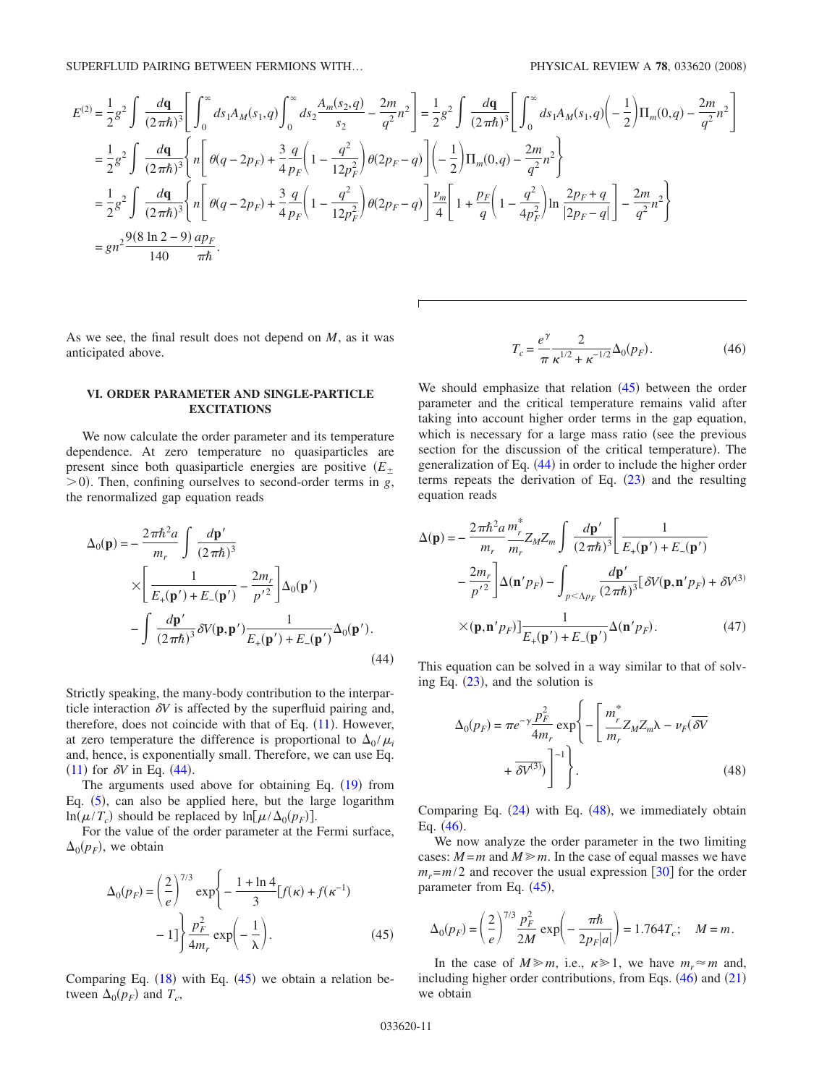$$
E^{(2)} = \frac{1}{2}g^2 \int \frac{d\mathbf{q}}{(2\pi\hbar)^3} \Bigg[ \int_0^\infty ds_1 A_M(s_1, q) \int_0^\infty ds_2 \frac{A_m(s_2, q)}{s_2} - \frac{2m}{q^2} n^2 \Bigg] = \frac{1}{2}g^2 \int \frac{d\mathbf{q}}{(2\pi\hbar)^3} \Bigg[ \int_0^\infty ds_1 A_M(s_1, q) \Bigg( -\frac{1}{2} \Bigg) \Pi_m(0, q) - \frac{2m}{q^2} n^2 \Bigg]
$$
  
\n
$$
= \frac{1}{2}g^2 \int \frac{d\mathbf{q}}{(2\pi\hbar)^3} \Bigg\{ n \Bigg[ \theta(q - 2p_F) + \frac{3}{4} \frac{q}{p_F} \Big( 1 - \frac{q^2}{12p_F^2} \Big) \theta(2p_F - q) \Bigg] \Bigg( -\frac{1}{2} \Big) \Pi_m(0, q) - \frac{2m}{q^2} n^2 \Bigg\}
$$
  
\n
$$
= \frac{1}{2}g^2 \int \frac{d\mathbf{q}}{(2\pi\hbar)^3} \Bigg\{ n \Bigg[ \theta(q - 2p_F) + \frac{3}{4} \frac{q}{p_F} \Big( 1 - \frac{q^2}{12p_F^2} \Big) \theta(2p_F - q) \Bigg] \frac{\nu_m}{4} \Bigg[ 1 + \frac{p_F}{q} \Big( 1 - \frac{q^2}{4p_F^2} \Big) \ln \frac{2p_F + q}{|2p_F - q|} \Bigg] - \frac{2m}{q^2} n^2 \Bigg\}
$$
  
\n
$$
= gn^2 \frac{9(8 \ln 2 - 9)}{140} \frac{ap_F}{\pi\hbar}.
$$

As we see, the final result does not depend on *M*, as it was anticipated above.

## **VI. ORDER PARAMETER AND SINGLE-PARTICLE EXCITATIONS**

We now calculate the order parameter and its temperature dependence. At zero temperature no quasiparticles are present since both quasiparticle energies are positive *E*  $>$ 0). Then, confining ourselves to second-order terms in *g*, the renormalized gap equation reads

<span id="page-10-0"></span>
$$
\Delta_0(\mathbf{p}) = -\frac{2\pi\hbar^2 a}{m_r} \int \frac{d\mathbf{p}'}{(2\pi\hbar)^3}
$$
  
\n
$$
\times \left[ \frac{1}{E_+(\mathbf{p}') + E_-(\mathbf{p}')} - \frac{2m_r}{p'^2} \right] \Delta_0(\mathbf{p}')
$$
  
\n
$$
- \int \frac{d\mathbf{p}'}{(2\pi\hbar)^3} \delta V(\mathbf{p}, \mathbf{p}') \frac{1}{E_+(\mathbf{p}') + E_-(\mathbf{p}')} \Delta_0(\mathbf{p}').
$$
\n(44)

Strictly speaking, the many-body contribution to the interparticle interaction  $\delta V$  is affected by the superfluid pairing and, therefore, does not coincide with that of Eq.  $(11)$  $(11)$  $(11)$ . However, at zero temperature the difference is proportional to  $\Delta_0 / \mu_i$ and, hence, is exponentially small. Therefore, we can use Eq.  $(11)$  $(11)$  $(11)$  for  $\delta V$  in Eq.  $(44)$  $(44)$  $(44)$ .

The arguments used above for obtaining Eq.  $(19)$  $(19)$  $(19)$  from Eq. ([5](#page-2-3)), can also be applied here, but the large logarithm  $\ln(\mu/T_c)$  should be replaced by  $\ln[\mu/\Delta_0(p_F)]$ .

For the value of the order parameter at the Fermi surface,  $\Delta_0(p_F)$ , we obtain

<span id="page-10-1"></span>
$$
\Delta_0(p_F) = \left(\frac{2}{e}\right)^{7/3} \exp\left\{-\frac{1+\ln 4}{3} [f(\kappa) + f(\kappa^{-1}) -1] \right\} \frac{p_F^2}{4m_r} \exp\left(-\frac{1}{\lambda}\right).
$$
 (45)

Comparing Eq.  $(18)$  $(18)$  $(18)$  with Eq.  $(45)$  $(45)$  $(45)$  we obtain a relation between  $\Delta_0(p_F)$  and  $T_c$ ,

$$
T_c = \frac{e^{\gamma}}{\pi} \frac{2}{\kappa^{1/2} + \kappa^{-1/2}} \Delta_0(p_F).
$$
 (46)

<span id="page-10-3"></span>We should emphasize that relation  $(45)$  $(45)$  $(45)$  between the order parameter and the critical temperature remains valid after taking into account higher order terms in the gap equation, which is necessary for a large mass ratio (see the previous section for the discussion of the critical temperature). The generalization of Eq. ([44](#page-10-0)) in order to include the higher order terms repeats the derivation of Eq.  $(23)$  $(23)$  $(23)$  and the resulting equation reads

$$
\Delta(\mathbf{p}) = -\frac{2\pi\hbar^2 a}{m_r} \frac{m_r^*}{m_r} Z_M Z_m \int \frac{d\mathbf{p}'}{(2\pi\hbar)^3} \left[ \frac{1}{E_+(\mathbf{p}') + E_-(\mathbf{p}')}\n- \frac{2m_r}{p'^2} \right] \Delta(\mathbf{n}' p_F) - \int_{p < \Lambda p_F} \frac{d\mathbf{p}'}{(2\pi\hbar)^3} [\delta V(\mathbf{p}, \mathbf{n}' p_F) + \delta V^{(3)}\n\times (\mathbf{p}, \mathbf{n}' p_F)] \frac{1}{E_+(\mathbf{p}') + E_-(\mathbf{p}')} \Delta(\mathbf{n}' p_F).
$$
\n(47)

This equation can be solved in a way similar to that of solving Eq.  $(23)$  $(23)$  $(23)$ , and the solution is

<span id="page-10-2"></span>
$$
\Delta_0(p_F) = \pi e^{-\gamma} \frac{p_F^2}{4m_r} \exp\left\{-\left[\frac{m_r^*}{m_r} Z_M Z_m \lambda - \nu_F (\overline{\delta V} + \overline{\delta V^{(3)}})\right]^{-1}\right\}.
$$
\n(48)

Comparing Eq.  $(24)$  $(24)$  $(24)$  with Eq.  $(48)$  $(48)$  $(48)$ , we immediately obtain Eq.  $(46)$  $(46)$  $(46)$ .

We now analyze the order parameter in the two limiting cases:  $M = m$  and  $M \ge m$ . In the case of equal masses we have  $m_r = m/2$  and recover the usual expression  $\left[30\right]$  $\left[30\right]$  $\left[30\right]$  for the order parameter from Eq. ([45](#page-10-1)),

$$
\Delta_0(p_F) = \left(\frac{2}{e}\right)^{7/3} \frac{p_F^2}{2M} \exp\left(-\frac{\pi \hbar}{2p_F|a|}\right) = 1.764 T_c; \quad M = m.
$$

In the case of  $M \ge m$ , i.e.,  $\kappa \ge 1$ , we have  $m_r \approx m$  and, including higher order contributions, from Eqs.  $(46)$  $(46)$  $(46)$  and  $(21)$  $(21)$  $(21)$ we obtain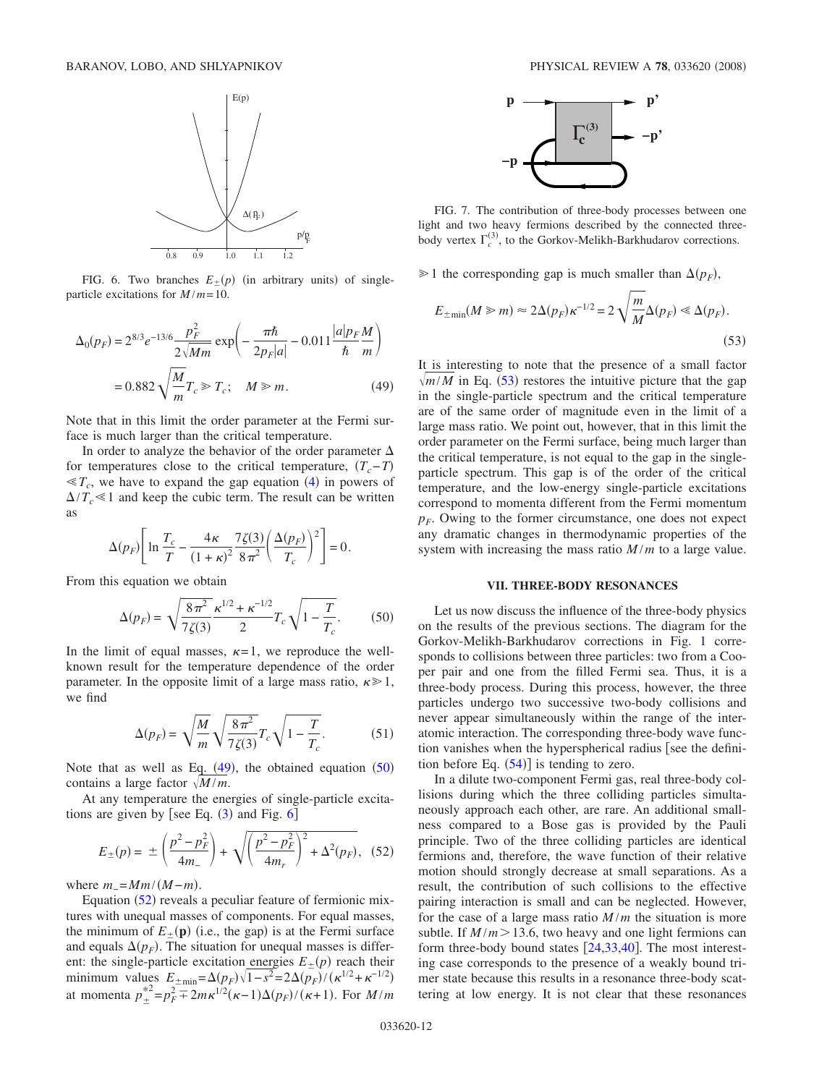<span id="page-11-2"></span>

FIG. 6. Two branches  $E_{\pm}(p)$  (in arbitrary units) of singleparticle excitations for *M* /*m*= 10.

<span id="page-11-0"></span>
$$
\Delta_0(p_F) = 2^{8/3} e^{-13/6} \frac{p_F^2}{2\sqrt{Mm}} \exp\left(-\frac{\pi\hbar}{2p_F|a|} - 0.011 \frac{|a|p_F M}{\hbar m}\right)
$$

$$
= 0.882 \sqrt{\frac{M}{m}} T_c \gg T_c; \quad M \gg m. \tag{49}
$$

Note that in this limit the order parameter at the Fermi surface is much larger than the critical temperature.

In order to analyze the behavior of the order parameter  $\Delta$ for temperatures close to the critical temperature,  $(T_c - T)$  $\ll T_c$ , we have to expand the gap equation ([4](#page-2-2)) in powers of  $\Delta/T_c \leq 1$  and keep the cubic term. The result can be written as

$$
\Delta(p_F) \left[ \ln \frac{T_c}{T} - \frac{4\kappa}{(1+\kappa)^2} \frac{7\zeta(3)}{8\pi^2} \left( \frac{\Delta(p_F)}{T_c} \right)^2 \right] = 0.
$$

From this equation we obtain

$$
\Delta(p_F) = \sqrt{\frac{8\pi^2}{7\zeta(3)}} \frac{\kappa^{1/2} + \kappa^{-1/2}}{2} T_c \sqrt{1 - \frac{T}{T_c}}.
$$
 (50)

<span id="page-11-1"></span>In the limit of equal masses,  $\kappa = 1$ , we reproduce the wellknown result for the temperature dependence of the order parameter. In the opposite limit of a large mass ratio,  $\kappa \geq 1$ , we find

$$
\Delta(p_F) = \sqrt{\frac{M}{m}} \sqrt{\frac{8\pi^2}{7\zeta(3)}} T_c \sqrt{1 - \frac{T}{T_c}}.
$$
 (51)

Note that as well as Eq.  $(49)$  $(49)$  $(49)$ , the obtained equation  $(50)$  $(50)$  $(50)$ contains a large factor  $\sqrt{M/m}$ .

At any temperature the energies of single-particle excitations are given by [see Eq.  $(3)$  $(3)$  $(3)$  and Fig.  $6$ ]

$$
E_{\pm}(p) = \pm \left(\frac{p^2 - p_F^2}{4m_-}\right) + \sqrt{\left(\frac{p^2 - p_F^2}{4m_r}\right)^2 + \Delta^2(p_F)},
$$
 (52)

<span id="page-11-3"></span>where  $m_$  =  $Mm/(M - m)$ .

Equation ([52](#page-11-3)) reveals a peculiar feature of fermionic mixtures with unequal masses of components. For equal masses, the minimum of  $E_{\pm}(\mathbf{p})$  (i.e., the gap) is at the Fermi surface and equals  $\Delta(p_F)$ . The situation for unequal masses is different: the single-particle excitation energies  $E_{\pm}(p)$  reach their minimum values  $E_{\pm \text{min}} = \Delta(p_F) \sqrt{1 - s^2} = 2\Delta(p_F) / (\kappa^{1/2} + \kappa^{-1/2})$ <br>at momenta  $p_{\pm}^{*2} = p_F^2 \mp 2m\kappa^{1/2} (\kappa - 1)\Delta(p_F) / (\kappa + 1)$ . For  $M/m$ 

<span id="page-11-5"></span>

FIG. 7. The contribution of three-body processes between one light and two heavy fermions described by the connected threebody vertex  $\Gamma_c^{(3)}$ , to the Gorkov-Melikh-Barkhudarov corrections.

 $\geq 1$  the corresponding gap is much smaller than  $\Delta(p_F)$ ,

<span id="page-11-4"></span>
$$
E_{\pm \min}(M \gg m) \approx 2\Delta(p_F) \kappa^{-1/2} = 2\sqrt{\frac{m}{M}} \Delta(p_F) \ll \Delta(p_F). \tag{53}
$$

It is interesting to note that the presence of a small factor  $\sqrt{m/M}$  in Eq. ([53](#page-11-4)) restores the intuitive picture that the gap in the single-particle spectrum and the critical temperature are of the same order of magnitude even in the limit of a large mass ratio. We point out, however, that in this limit the order parameter on the Fermi surface, being much larger than the critical temperature, is not equal to the gap in the singleparticle spectrum. This gap is of the order of the critical temperature, and the low-energy single-particle excitations correspond to momenta different from the Fermi momentum  $p_F$ . Owing to the former circumstance, one does not expect any dramatic changes in thermodynamic properties of the system with increasing the mass ratio *M* /*m* to a large value.

### **VII. THREE-BODY RESONANCES**

Let us now discuss the influence of the three-body physics on the results of the previous sections. The diagram for the Gorkov-Melikh-Barkhudarov corrections in Fig. [1](#page-2-0) corresponds to collisions between three particles: two from a Cooper pair and one from the filled Fermi sea. Thus, it is a three-body process. During this process, however, the three particles undergo two successive two-body collisions and never appear simultaneously within the range of the interatomic interaction. The corresponding three-body wave function vanishes when the hyperspherical radius [see the definition before Eq.  $(54)$  $(54)$  $(54)$  is tending to zero.

In a dilute two-component Fermi gas, real three-body collisions during which the three colliding particles simultaneously approach each other, are rare. An additional smallness compared to a Bose gas is provided by the Pauli principle. Two of the three colliding particles are identical fermions and, therefore, the wave function of their relative motion should strongly decrease at small separations. As a result, the contribution of such collisions to the effective pairing interaction is small and can be neglected. However, for the case of a large mass ratio  $M/m$  the situation is more subtle. If  $M/m > 13.6$ , two heavy and one light fermions can form three-body bound states  $[24,33,40]$  $[24,33,40]$  $[24,33,40]$  $[24,33,40]$  $[24,33,40]$ . The most interesting case corresponds to the presence of a weakly bound trimer state because this results in a resonance three-body scattering at low energy. It is not clear that these resonances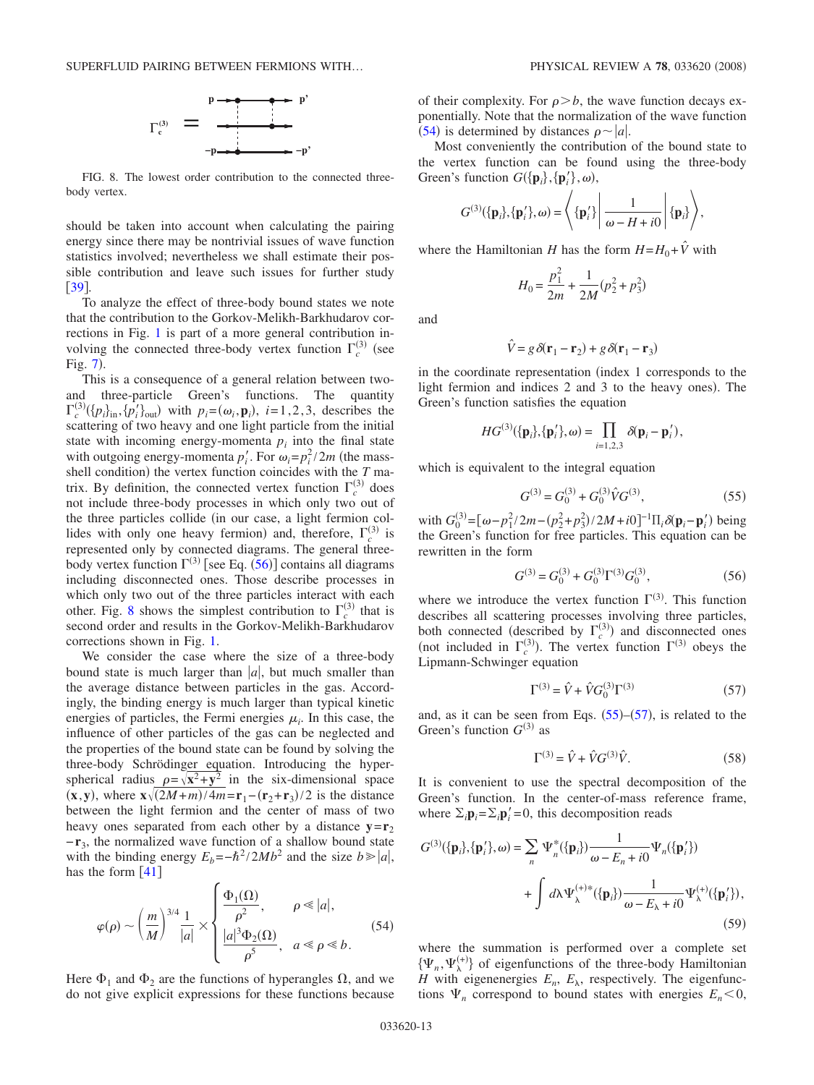<span id="page-12-2"></span>SUPERFLUID PAIRING BETWEEN FERMIONS WITH...



FIG. 8. The lowest order contribution to the connected threebody vertex.

should be taken into account when calculating the pairing energy since there may be nontrivial issues of wave function statistics involved; nevertheless we shall estimate their possible contribution and leave such issues for further study [[39](#page-15-18)].

To analyze the effect of three-body bound states we note that the contribution to the Gorkov-Melikh-Barkhudarov corrections in Fig. [1](#page-2-0) is part of a more general contribution involving the connected three-body vertex function  $\Gamma_c^{(3)}$  (see Fig. [7](#page-11-5)).

This is a consequence of a general relation between twoand three-particle Green's functions. The quantity  $\Gamma_c^{(3)}(\{p_i\}_{i=1}^N, \{p_i'\}_{i=1}^N)$  with  $p_i = (\omega_i, \mathbf{p}_i), i = 1, 2, 3$ , describes the scattering of two heavy and one light particle from the initial state with incoming energy-momenta  $p_i$  into the final state with outgoing energy-momenta  $p'_i$ . For  $\omega_i = p_i^2 / 2m$  (the massshell condition) the vertex function coincides with the  $T$  matrix. By definition, the connected vertex function  $\Gamma_c^{(3)}$  does not include three-body processes in which only two out of the three particles collide (in our case, a light fermion collides with only one heavy fermion) and, therefore,  $\Gamma_c^{(3)}$  is represented only by connected diagrams. The general threebody vertex function  $\Gamma^{(3)}$  [see Eq. ([56](#page-12-1))] contains all diagrams including disconnected ones. Those describe processes in which only two out of the three particles interact with each other. Fig. [8](#page-12-2) shows the simplest contribution to  $\Gamma_c^{(3)}$  that is second order and results in the Gorkov-Melikh-Barkhudarov corrections shown in Fig. [1.](#page-2-0)

We consider the case where the size of a three-body bound state is much larger than  $|a|$ , but much smaller than the average distance between particles in the gas. Accordingly, the binding energy is much larger than typical kinetic energies of particles, the Fermi energies  $\mu_i$ . In this case, the influence of other particles of the gas can be neglected and the properties of the bound state can be found by solving the three-body Schrödinger equation. Introducing the hyperspherical radius  $p = \sqrt{x^2 + y^2}$  in the six-dimensional space  $\frac{x}{2}$  **where**  $\frac{x}{2M+m}/4m = \mathbf{r}_1 - (\mathbf{r}_2 + \mathbf{r}_3)/2$  **is the distance** between the light fermion and the center of mass of two heavy ones separated from each other by a distance  $y = r_2$ −**r**3, the normalized wave function of a shallow bound state with the binding energy  $E_b = -\hbar^2 / 2Mb^2$  and the size  $b \ge |a|$ , has the form  $[41]$  $[41]$  $[41]$ 

<span id="page-12-0"></span>
$$
\varphi(\rho) \sim \left(\frac{m}{M}\right)^{3/4} \frac{1}{|a|} \times \begin{cases} \frac{\Phi_1(\Omega)}{\rho^2}, & \rho \ll |a|, \\ \frac{|a|^3 \Phi_2(\Omega)}{\rho^5}, & a \ll \rho \ll b. \end{cases}
$$
 (54)

Here  $\Phi_1$  and  $\Phi_2$  are the functions of hyperangles  $\Omega$ , and we do not give explicit expressions for these functions because

of their complexity. For  $\rho > b$ , the wave function decays exponentially. Note that the normalization of the wave function  $(54)$  $(54)$  $(54)$  is determined by distances  $\rho \sim |a|$ .

Most conveniently the contribution of the bound state to the vertex function can be found using the three-body Green's function  $G(\{\mathbf{p}_i\}, {\{\mathbf{p}'_i\}}, \omega)$ ,

$$
G^{(3)}(\{\mathbf{p}_i\},\{\mathbf{p}_i'\},\omega)=\left\langle \{\mathbf{p}_i'\}\left|\frac{1}{\omega-H+i0}\right|\{\mathbf{p}_i\}\right\rangle,
$$

where the Hamiltonian *H* has the form  $H = H_0 + \hat{V}$  with

$$
H_0 = \frac{p_1^2}{2m} + \frac{1}{2M}(p_2^2 + p_3^2)
$$

and

$$
\hat{V} = g \,\delta(\mathbf{r}_1 - \mathbf{r}_2) + g \,\delta(\mathbf{r}_1 - \mathbf{r}_3)
$$

in the coordinate representation (index 1 corresponds to the light fermion and indices 2 and 3 to the heavy ones). The Green's function satisfies the equation

$$
HG^{(3)}(\lbrace \mathbf{p}_i \rbrace, \lbrace \mathbf{p}'_i \rbrace, \omega) = \prod_{i=1,2,3} \delta(\mathbf{p}_i - \mathbf{p}'_i),
$$

which is equivalent to the integral equation

$$
G^{(3)} = G_0^{(3)} + G_0^{(3)} \hat{V} G^{(3)},\tag{55}
$$

<span id="page-12-3"></span>with  $G_0^{(3)} = [\omega - p_1^2 / 2m - (p_2^2 + p_3^2) / 2M + i0]^{-1} \Pi_i \delta(\mathbf{p}_i - \mathbf{p}_i)$  being the Green's function for free particles. This equation can be rewritten in the form

$$
G^{(3)} = G_0^{(3)} + G_0^{(3)} \Gamma^{(3)} G_0^{(3)},\tag{56}
$$

<span id="page-12-1"></span>where we introduce the vertex function  $\Gamma^{(3)}$ . This function describes all scattering processes involving three particles, both connected (described by  $\Gamma_c^{(3)}$ ) and disconnected ones (not included in  $\Gamma_c^{(3)}$ ). The vertex function  $\Gamma^{(3)}$  obeys the Lipmann-Schwinger equation

$$
\Gamma^{(3)} = \hat{V} + \hat{V} G_0^{(3)} \Gamma^{(3)} \tag{57}
$$

<span id="page-12-4"></span>and, as it can be seen from Eqs.  $(55)$  $(55)$  $(55)$ – $(57)$  $(57)$  $(57)$ , is related to the Green's function  $G^{(3)}$  as

$$
\Gamma^{(3)} = \hat{V} + \hat{V}G^{(3)}\hat{V}.
$$
 (58)

<span id="page-12-5"></span>It is convenient to use the spectral decomposition of the Green's function. In the center-of-mass reference frame, where  $\Sigma_i \mathbf{p}_i = \Sigma_i \mathbf{p}'_i = 0$ , this decomposition reads

<span id="page-12-6"></span>
$$
G^{(3)}(\lbrace \mathbf{p}_i \rbrace, \lbrace \mathbf{p}_i' \rbrace, \omega) = \sum_{n} \Psi_n^*(\lbrace \mathbf{p}_i \rbrace) \frac{1}{\omega - E_n + i0} \Psi_n(\lbrace \mathbf{p}_i' \rbrace)
$$
  
+ 
$$
\int d\lambda \Psi_\lambda^{(+)*}(\lbrace \mathbf{p}_i \rbrace) \frac{1}{\omega - E_\lambda + i0} \Psi_\lambda^{(+)}(\lbrace \mathbf{p}_i' \rbrace),
$$
(59)

where the summation is performed over a complete set  $\{\Psi_n, \Psi_{\lambda}^{(+)}\}$  of eigenfunctions of the three-body Hamiltonian *H* with eigenenergies  $E_n$ ,  $E_\lambda$ , respectively. The eigenfunctions  $\Psi_n$  correspond to bound states with energies  $E_n < 0$ ,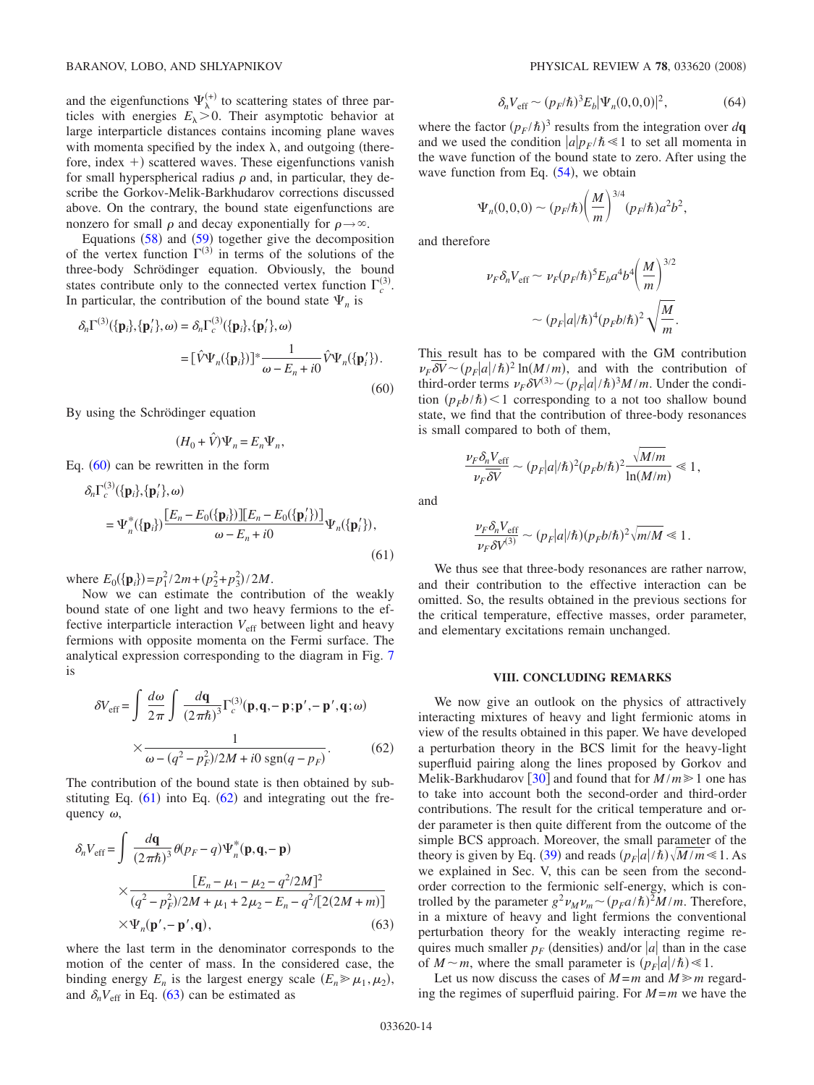and the eigenfunctions  $\Psi_{\lambda}^{(+)}$  to scattering states of three particles with energies  $E_{\lambda} > 0$ . Their asymptotic behavior at large interparticle distances contains incoming plane waves with momenta specified by the index  $\lambda$ , and outgoing (therefore, index  $+)$  scattered waves. These eigenfunctions vanish for small hyperspherical radius  $\rho$  and, in particular, they describe the Gorkov-Melik-Barkhudarov corrections discussed above. On the contrary, the bound state eigenfunctions are nonzero for small  $\rho$  and decay exponentially for  $\rho \rightarrow \infty$ .

Equations  $(58)$  $(58)$  $(58)$  and  $(59)$  $(59)$  $(59)$  together give the decomposition of the vertex function  $\Gamma^{(3)}$  in terms of the solutions of the three-body Schrödinger equation. Obviously, the bound states contribute only to the connected vertex function  $\Gamma_c^{(3)}$ . In particular, the contribution of the bound state  $\Psi_n$  is

<span id="page-13-0"></span>
$$
\delta_n \Gamma^{(3)}(\{\mathbf{p}_i\},\{\mathbf{p}_i'\},\omega) = \delta_n \Gamma_c^{(3)}(\{\mathbf{p}_i\},\{\mathbf{p}_i'\},\omega)
$$

$$
= [\hat{V}\Psi_n(\{\mathbf{p}_i\})]^* \frac{1}{\omega - E_n + i0} \hat{V}\Psi_n(\{\mathbf{p}_i'\}).
$$
(60)

By using the Schrödinger equation

$$
(H_0 + \hat{V})\Psi_n = E_n \Psi_n,
$$

Eq.  $(60)$  $(60)$  $(60)$  can be rewritten in the form

$$
\delta_n \Gamma_c^{(3)}(\{\mathbf{p}_i\}, \{\mathbf{p}_i'\}, \omega)
$$
  
=  $\Psi_n^*(\{\mathbf{p}_i\}) \frac{[E_n - E_0(\{\mathbf{p}_i\})][E_n - E_0(\{\mathbf{p}_i'\})]}{\omega - E_n + i0} \Psi_n(\{\mathbf{p}_i'\}),$  (61)

where  $E_0({\bf{p}}_i) = p_1^2/2m + (p_2^2 + p_3^2)/2M$ .

Now we can estimate the contribution of the weakly bound state of one light and two heavy fermions to the effective interparticle interaction  $V_{\text{eff}}$  between light and heavy fermions with opposite momenta on the Fermi surface. The analytical expression corresponding to the diagram in Fig. [7](#page-11-5) is

<span id="page-13-1"></span>
$$
\delta V_{\text{eff}} = \int \frac{d\omega}{2\pi} \int \frac{d\mathbf{q}}{(2\pi\hbar)^3} \Gamma_c^{(3)}(\mathbf{p}, \mathbf{q}, -\mathbf{p}; \mathbf{p}', -\mathbf{p}', \mathbf{q}; \omega)
$$

$$
\times \frac{1}{\omega - (q^2 - p_F^2)/2M + i0 \text{ sgn}(q - p_F)}.
$$
(62)

The contribution of the bound state is then obtained by substituting Eq.  $(61)$  $(61)$  $(61)$  into Eq.  $(62)$  $(62)$  $(62)$  and integrating out the frequency  $\omega$ ,

<span id="page-13-2"></span>
$$
\delta_n V_{\text{eff}} = \int \frac{d\mathbf{q}}{(2\pi\hbar)^3} \theta(p_F - q) \Psi_n^*(\mathbf{p}, \mathbf{q}, -\mathbf{p})
$$
  
 
$$
\times \frac{[E_n - \mu_1 - \mu_2 - q^2/2M]^2}{(q^2 - p_F^2)/2M + \mu_1 + 2\mu_2 - E_n - q^2/[2(2M + m)]}
$$
  
 
$$
\times \Psi_n(\mathbf{p}', -\mathbf{p}', \mathbf{q}), \qquad (63)
$$

where the last term in the denominator corresponds to the motion of the center of mass. In the considered case, the binding energy  $E_n$  is the largest energy scale  $(E_n \gg \mu_1, \mu_2)$ , and  $\delta_n V_{\text{eff}}$  in Eq. ([63](#page-13-2)) can be estimated as

$$
\delta_n V_{\text{eff}} \sim (p_F / \hbar)^3 E_b |\Psi_n(0,0,0)|^2, \tag{64}
$$

where the factor  $(p_F/\hbar)^3$  results from the integration over  $d\mathbf{q}$ and we used the condition  $|a|p_F/\hbar \ll 1$  to set all momenta in the wave function of the bound state to zero. After using the wave function from Eq.  $(54)$  $(54)$  $(54)$ , we obtain

$$
\Psi_n(0,0,0) \sim (p_F/\hbar) \left(\frac{M}{m}\right)^{3/4} (p_F/\hbar) a^2 b^2,
$$

and therefore

$$
\nu_F \delta_n V_{\text{eff}} \sim \nu_F (p_F/\hbar)^5 E_b a^4 b^4 \left(\frac{M}{m}\right)^{3/2}
$$

$$
\sim (p_F |a|/\hbar)^4 (p_F b/\hbar)^2 \sqrt{\frac{M}{m}}.
$$

This result has to be compared with the GM contribution  $\nu_F \delta V \sim (p_F|a|/\hbar)^2 \ln(M/m)$ , and with the contribution of third-order terms  $\nu_F \delta V^{(3)} \sim (p_F|a|/\hbar)^3 M/m$ . Under the condition  $(p_F b/\hbar)$  < 1 corresponding to a not too shallow bound state, we find that the contribution of three-body resonances is small compared to both of them,

$$
\frac{\nu_F \delta_n V_{\rm eff}}{\nu_F \overline{\delta V}} \sim (p_F |a|/\hbar)^2 (p_F b/\hbar)^2 \frac{\sqrt{M/m}}{\ln(M/m)} \ll 1,
$$

and

$$
\frac{\nu_F \delta_n V_{\text{eff}}}{\nu_F \delta V^{(3)}} \sim (p_F |a|/\hbar) (p_F b/\hbar)^2 \sqrt{m/M} \ll 1.
$$

We thus see that three-body resonances are rather narrow, and their contribution to the effective interaction can be omitted. So, the results obtained in the previous sections for the critical temperature, effective masses, order parameter, and elementary excitations remain unchanged.

### **VIII. CONCLUDING REMARKS**

We now give an outlook on the physics of attractively interacting mixtures of heavy and light fermionic atoms in view of the results obtained in this paper. We have developed a perturbation theory in the BCS limit for the heavy-light superfluid pairing along the lines proposed by Gorkov and Melik-Barkhudarov [[30](#page-15-8)] and found that for  $M/m \ge 1$  one has to take into account both the second-order and third-order contributions. The result for the critical temperature and order parameter is then quite different from the outcome of the simple BCS approach. Moreover, the small parameter of the theory is given by Eq. ([39](#page-8-0)) and reads  $(p_F|a|/\hbar)\sqrt{M/m} \le 1$ . As we explained in Sec. V, this can be seen from the secondorder correction to the fermionic self-energy, which is controlled by the parameter  $g^2 \nu_M \nu_m \sim (p_F a/\hbar)^2 M/m$ . Therefore, in a mixture of heavy and light fermions the conventional perturbation theory for the weakly interacting regime requires much smaller  $p_F$  (densities) and/or  $|a|$  than in the case of  $M \sim m$ , where the small parameter is  $(p_F|a|/\hbar) \ll 1$ .

Let us now discuss the cases of  $M = m$  and  $M \ge m$  regarding the regimes of superfluid pairing. For *M* =*m* we have the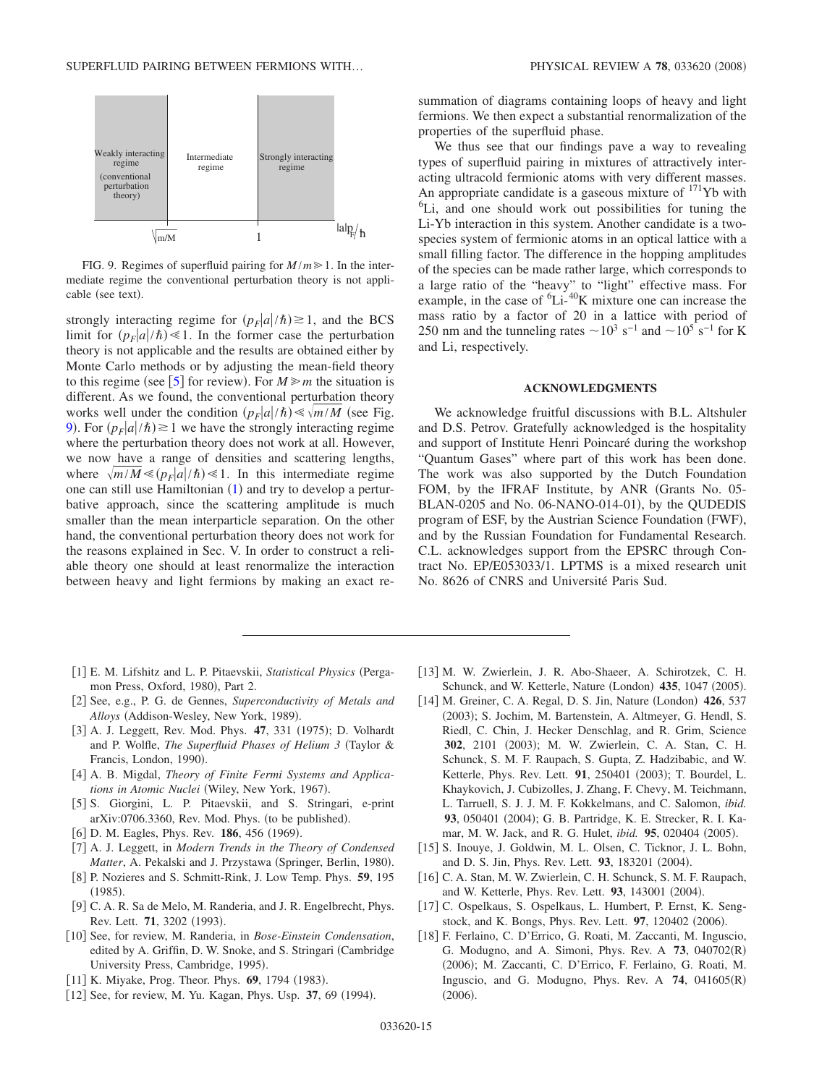<span id="page-14-11"></span>

FIG. 9. Regimes of superfluid pairing for  $M/m \ge 1$ . In the intermediate regime the conventional perturbation theory is not applicable (see text).

strongly interacting regime for  $(p_F|a|/\hbar) \ge 1$ , and the BCS limit for  $(p_F|a|/\hbar) \ll 1$ . In the former case the perturbation theory is not applicable and the results are obtained either by Monte Carlo methods or by adjusting the mean-field theory to this regime (see [[5](#page-14-3)] for review). For  $M \ge m$  the situation is different. As we found, the conventional perturbation theory works well under the condition  $(p_F|a|/\hbar) \ll \sqrt{m/M}$  (see Fig. [9](#page-14-11)). For  $(p_F|a|/\hbar) \ge 1$  we have the strongly interacting regime where the perturbation theory does not work at all. However, we now have a range of densities and scattering lengths, where  $\sqrt{m/M} \ll (p_F|a|/\hbar) \ll 1$ . In this intermediate regime one can still use Hamiltonian  $(1)$  $(1)$  $(1)$  and try to develop a perturbative approach, since the scattering amplitude is much smaller than the mean interparticle separation. On the other hand, the conventional perturbation theory does not work for the reasons explained in Sec. V. In order to construct a reliable theory one should at least renormalize the interaction between heavy and light fermions by making an exact re-

- [1] E. M. Lifshitz and L. P. Pitaevskii, *Statistical Physics* (Pergamon Press, Oxford, 1980), Part 2.
- <span id="page-14-0"></span>2 See, e.g., P. G. de Gennes, *Superconductivity of Metals and* Alloys (Addison-Wesley, New York, 1989).
- <span id="page-14-1"></span>[3] A. J. Leggett, Rev. Mod. Phys. 47, 331 (1975); D. Volhardt and P. Wolfle, *The Superfluid Phases of Helium 3* (Taylor & Francis, London, 1990).
- [4] A. B. Migdal, *Theory of Finite Fermi Systems and Applica*tions in Atomic Nuclei (Wiley, New York, 1967).
- <span id="page-14-2"></span>5 S. Giorgini, L. P. Pitaevskii, and S. Stringari, e-print arXiv:0706.3360, Rev. Mod. Phys. (to be published).
- <span id="page-14-3"></span>[6] D. M. Eagles, Phys. Rev. **186**, 456 (1969).
- <span id="page-14-4"></span>7 A. J. Leggett, in *Modern Trends in the Theory of Condensed* Matter, A. Pekalski and J. Przystawa (Springer, Berlin, 1980).
- 8 P. Nozieres and S. Schmitt-Rink, J. Low Temp. Phys. **59**, 195  $(1985).$
- [9] C. A. R. Sa de Melo, M. Randeria, and J. R. Engelbrecht, Phys. Rev. Lett. **71**, 3202 (1993).
- <span id="page-14-5"></span>10 See, for review, M. Randeria, in *Bose-Einstein Condensation*, edited by A. Griffin, D. W. Snoke, and S. Stringari Cambridge University Press, Cambridge, 1995).
- [11] K. Miyake, Prog. Theor. Phys. 69, 1794 (1983).
- <span id="page-14-7"></span><span id="page-14-6"></span>[12] See, for review, M. Yu. Kagan, Phys. Usp. 37, 69 (1994).

summation of diagrams containing loops of heavy and light fermions. We then expect a substantial renormalization of the properties of the superfluid phase.

We thus see that our findings pave a way to revealing types of superfluid pairing in mixtures of attractively interacting ultracold fermionic atoms with very different masses. An appropriate candidate is a gaseous mixture of  $^{171}$ Yb with <sup>6</sup>Li, and one should work out possibilities for tuning the Li-Yb interaction in this system. Another candidate is a twospecies system of fermionic atoms in an optical lattice with a small filling factor. The difference in the hopping amplitudes of the species can be made rather large, which corresponds to a large ratio of the "heavy" to "light" effective mass. For example, in the case of  ${}^{6}$ Li- ${}^{40}$ K mixture one can increase the mass ratio by a factor of 20 in a lattice with period of 250 nm and the tunneling rates  $\sim 10^3$  s<sup>-1</sup> and  $\sim 10^5$  s<sup>-1</sup> for K and Li, respectively.

### **ACKNOWLEDGMENTS**

We acknowledge fruitful discussions with B.L. Altshuler and D.S. Petrov. Gratefully acknowledged is the hospitality and support of Institute Henri Poincaré during the workshop "Quantum Gases" where part of this work has been done. The work was also supported by the Dutch Foundation FOM, by the IFRAF Institute, by ANR Grants No. 05- BLAN-0205 and No. 06-NANO-014-01), by the QUDEDIS program of ESF, by the Austrian Science Foundation (FWF), and by the Russian Foundation for Fundamental Research. C.L. acknowledges support from the EPSRC through Contract No. EP/E053033/1. LPTMS is a mixed research unit No. 8626 of CNRS and Université Paris Sud.

- 13 M. W. Zwierlein, J. R. Abo-Shaeer, A. Schirotzek, C. H. Schunck, and W. Ketterle, Nature (London) 435, 1047 (2005).
- <span id="page-14-9"></span><span id="page-14-8"></span>[14] M. Greiner, C. A. Regal, D. S. Jin, Nature (London) 426, 537 (2003); S. Jochim, M. Bartenstein, A. Altmeyer, G. Hendl, S. Riedl, C. Chin, J. Hecker Denschlag, and R. Grim, Science 302, 2101 (2003); M. W. Zwierlein, C. A. Stan, C. H. Schunck, S. M. F. Raupach, S. Gupta, Z. Hadzibabic, and W. Ketterle, Phys. Rev. Lett. 91, 250401 (2003); T. Bourdel, L. Khaykovich, J. Cubizolles, J. Zhang, F. Chevy, M. Teichmann, L. Tarruell, S. J. J. M. F. Kokkelmans, and C. Salomon, *ibid.* 93, 050401 (2004); G. B. Partridge, K. E. Strecker, R. I. Kamar, M. W. Jack, and R. G. Hulet, *ibid*. **95**, 020404 (2005).
- [15] S. Inouye, J. Goldwin, M. L. Olsen, C. Ticknor, J. L. Bohn, and D. S. Jin, Phys. Rev. Lett. 93, 183201 (2004).
- <span id="page-14-10"></span>[16] C. A. Stan, M. W. Zwierlein, C. H. Schunck, S. M. F. Raupach, and W. Ketterle, Phys. Rev. Lett. 93, 143001 (2004).
- [17] C. Ospelkaus, S. Ospelkaus, L. Humbert, P. Ernst, K. Sengstock, and K. Bongs, Phys. Rev. Lett. 97, 120402 (2006).
- 18 F. Ferlaino, C. D'Errico, G. Roati, M. Zaccanti, M. Inguscio, G. Modugno, and A. Simoni, Phys. Rev. A **73**, 040702R- (2006); M. Zaccanti, C. D'Errico, F. Ferlaino, G. Roati, M. Inguscio, and G. Modugno, Phys. Rev. A 74, 041605(R)  $(2006).$